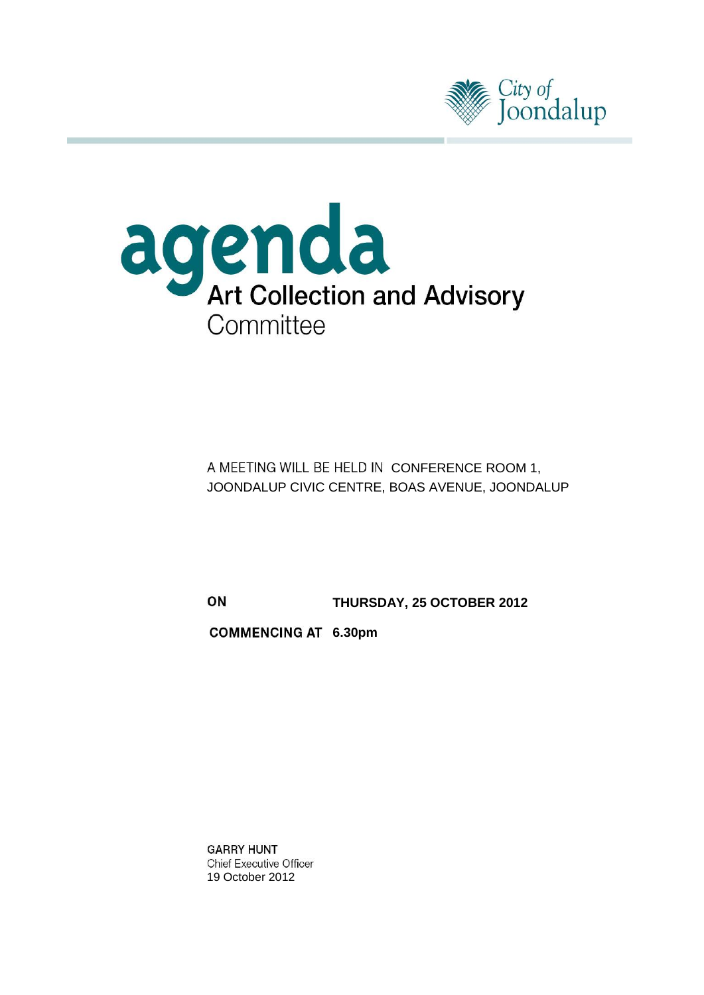



A MEETING WILL BE HELD IN CONFERENCE ROOM 1, JOONDALUP CIVIC CENTRE, BOAS AVENUE, JOONDALUP

ON **THURSDAY, 25 OCTOBER 2012**

**6.30pm**

**GARRY HUNT Chief Executive Officer** 19 October 2012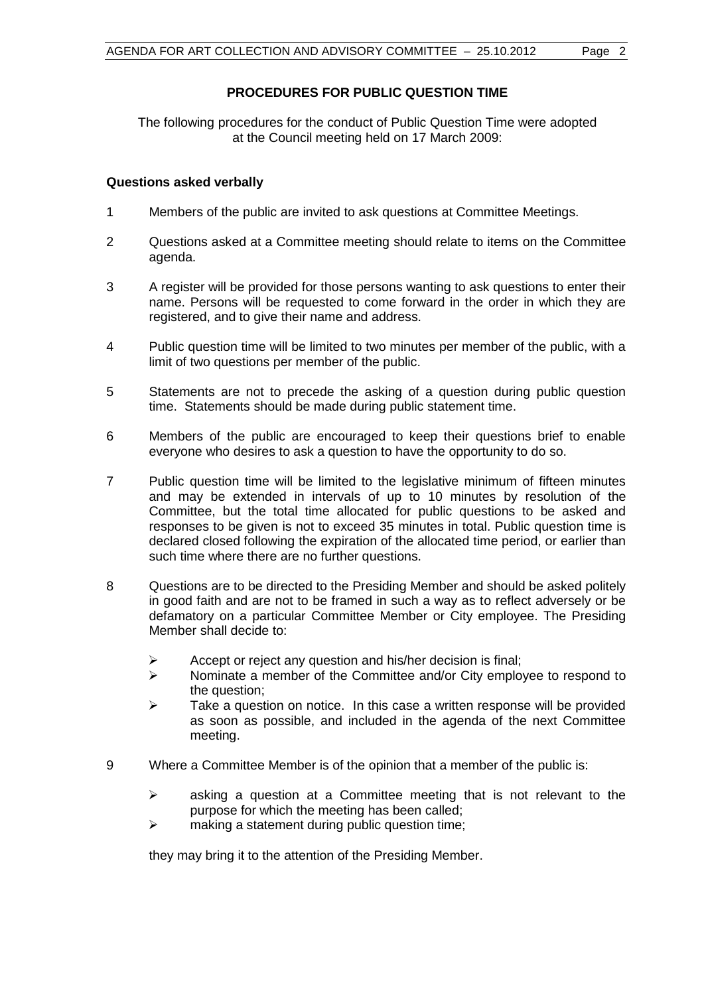The following procedures for the conduct of Public Question Time were adopted at the Council meeting held on 17 March 2009:

# **Questions asked verbally**

- 1 Members of the public are invited to ask questions at Committee Meetings.
- 2 Questions asked at a Committee meeting should relate to items on the Committee agenda.
- 3 A register will be provided for those persons wanting to ask questions to enter their name. Persons will be requested to come forward in the order in which they are registered, and to give their name and address.
- 4 Public question time will be limited to two minutes per member of the public, with a limit of two questions per member of the public.
- 5 Statements are not to precede the asking of a question during public question time. Statements should be made during public statement time.
- 6 Members of the public are encouraged to keep their questions brief to enable everyone who desires to ask a question to have the opportunity to do so.
- 7 Public question time will be limited to the legislative minimum of fifteen minutes and may be extended in intervals of up to 10 minutes by resolution of the Committee, but the total time allocated for public questions to be asked and responses to be given is not to exceed 35 minutes in total. Public question time is declared closed following the expiration of the allocated time period, or earlier than such time where there are no further questions.
- 8 Questions are to be directed to the Presiding Member and should be asked politely in good faith and are not to be framed in such a way as to reflect adversely or be defamatory on a particular Committee Member or City employee. The Presiding Member shall decide to:
	- $\triangleright$  Accept or reject any question and his/her decision is final;
	- $\triangleright$  Nominate a member of the Committee and/or City employee to respond to the question;
	- $\triangleright$  Take a question on notice. In this case a written response will be provided as soon as possible, and included in the agenda of the next Committee meeting.
- 9 Where a Committee Member is of the opinion that a member of the public is:
	- $\triangleright$  asking a question at a Committee meeting that is not relevant to the purpose for which the meeting has been called;
	- $\triangleright$  making a statement during public question time;

they may bring it to the attention of the Presiding Member.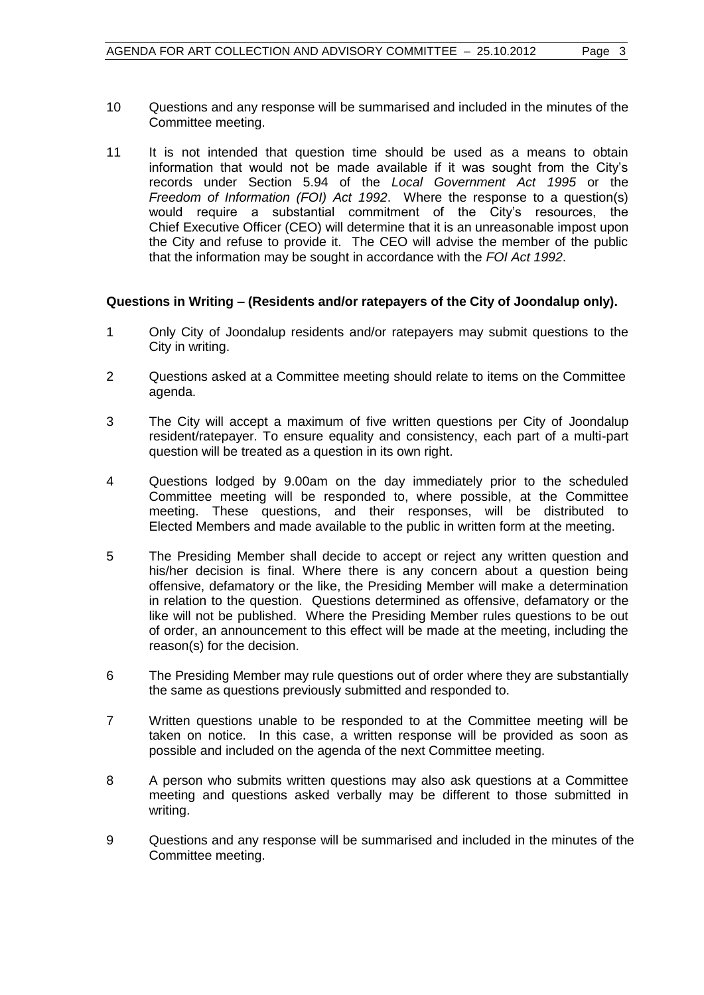- 10 Questions and any response will be summarised and included in the minutes of the Committee meeting.
- 11 It is not intended that question time should be used as a means to obtain information that would not be made available if it was sought from the City's records under Section 5.94 of the *Local Government Act 1995* or the *Freedom of Information (FOI) Act 1992*. Where the response to a question(s) would require a substantial commitment of the City's resources, the Chief Executive Officer (CEO) will determine that it is an unreasonable impost upon the City and refuse to provide it. The CEO will advise the member of the public that the information may be sought in accordance with the *FOI Act 1992*.

# **Questions in Writing – (Residents and/or ratepayers of the City of Joondalup only).**

- 1 Only City of Joondalup residents and/or ratepayers may submit questions to the City in writing.
- 2 Questions asked at a Committee meeting should relate to items on the Committee agenda.
- 3 The City will accept a maximum of five written questions per City of Joondalup resident/ratepayer. To ensure equality and consistency, each part of a multi-part question will be treated as a question in its own right.
- 4 Questions lodged by 9.00am on the day immediately prior to the scheduled Committee meeting will be responded to, where possible, at the Committee meeting. These questions, and their responses, will be distributed to Elected Members and made available to the public in written form at the meeting.
- 5 The Presiding Member shall decide to accept or reject any written question and his/her decision is final. Where there is any concern about a question being offensive, defamatory or the like, the Presiding Member will make a determination in relation to the question. Questions determined as offensive, defamatory or the like will not be published. Where the Presiding Member rules questions to be out of order, an announcement to this effect will be made at the meeting, including the reason(s) for the decision.
- 6 The Presiding Member may rule questions out of order where they are substantially the same as questions previously submitted and responded to.
- 7 Written questions unable to be responded to at the Committee meeting will be taken on notice. In this case, a written response will be provided as soon as possible and included on the agenda of the next Committee meeting.
- 8 A person who submits written questions may also ask questions at a Committee meeting and questions asked verbally may be different to those submitted in writing.
- 9 Questions and any response will be summarised and included in the minutes of the Committee meeting.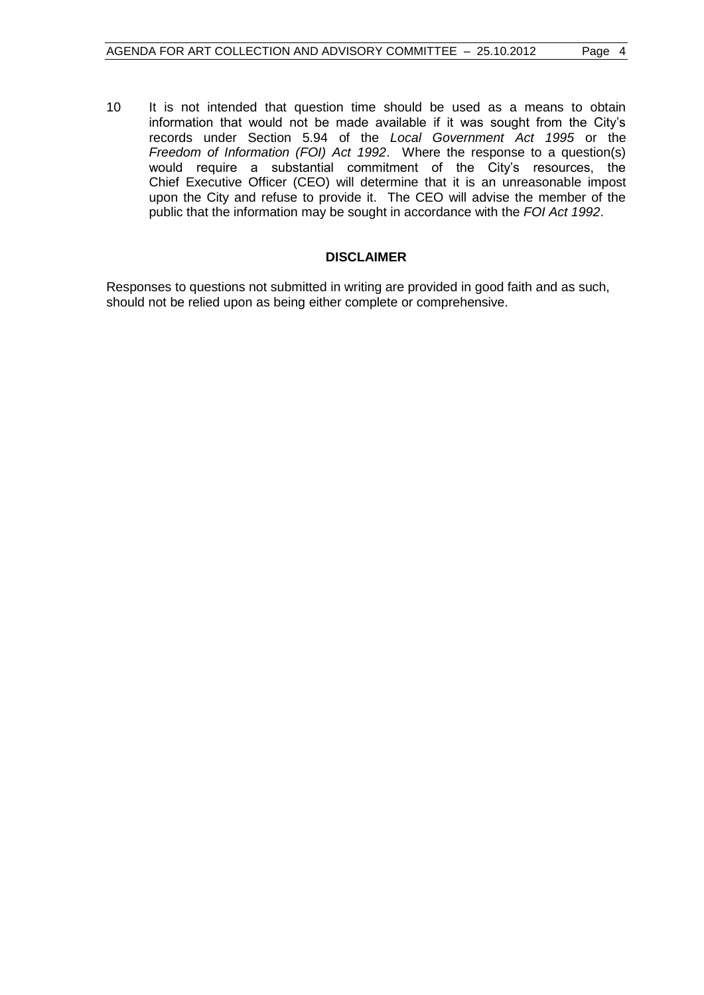10 It is not intended that question time should be used as a means to obtain information that would not be made available if it was sought from the City's records under Section 5.94 of the *Local Government Act 1995* or the *Freedom of Information (FOI) Act 1992*. Where the response to a question(s) would require a substantial commitment of the City's resources, the Chief Executive Officer (CEO) will determine that it is an unreasonable impost upon the City and refuse to provide it. The CEO will advise the member of the public that the information may be sought in accordance with the *FOI Act 1992*.

# **DISCLAIMER**

Responses to questions not submitted in writing are provided in good faith and as such, should not be relied upon as being either complete or comprehensive.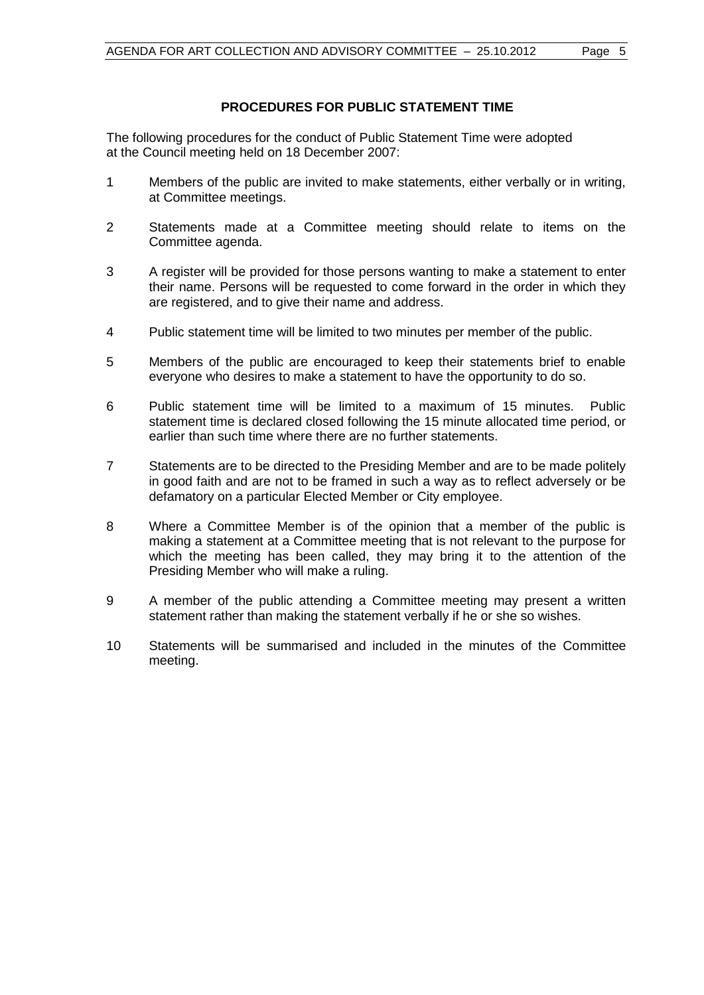# **PROCEDURES FOR PUBLIC STATEMENT TIME**

The following procedures for the conduct of Public Statement Time were adopted at the Council meeting held on 18 December 2007:

- 1 Members of the public are invited to make statements, either verbally or in writing, at Committee meetings.
- 2 Statements made at a Committee meeting should relate to items on the Committee agenda.
- 3 A register will be provided for those persons wanting to make a statement to enter their name. Persons will be requested to come forward in the order in which they are registered, and to give their name and address.
- 4 Public statement time will be limited to two minutes per member of the public.
- 5 Members of the public are encouraged to keep their statements brief to enable everyone who desires to make a statement to have the opportunity to do so.
- 6 Public statement time will be limited to a maximum of 15 minutes. Public statement time is declared closed following the 15 minute allocated time period, or earlier than such time where there are no further statements.
- 7 Statements are to be directed to the Presiding Member and are to be made politely in good faith and are not to be framed in such a way as to reflect adversely or be defamatory on a particular Elected Member or City employee.
- 8 Where a Committee Member is of the opinion that a member of the public is making a statement at a Committee meeting that is not relevant to the purpose for which the meeting has been called, they may bring it to the attention of the Presiding Member who will make a ruling.
- 9 A member of the public attending a Committee meeting may present a written statement rather than making the statement verbally if he or she so wishes.
- 10 Statements will be summarised and included in the minutes of the Committee meeting.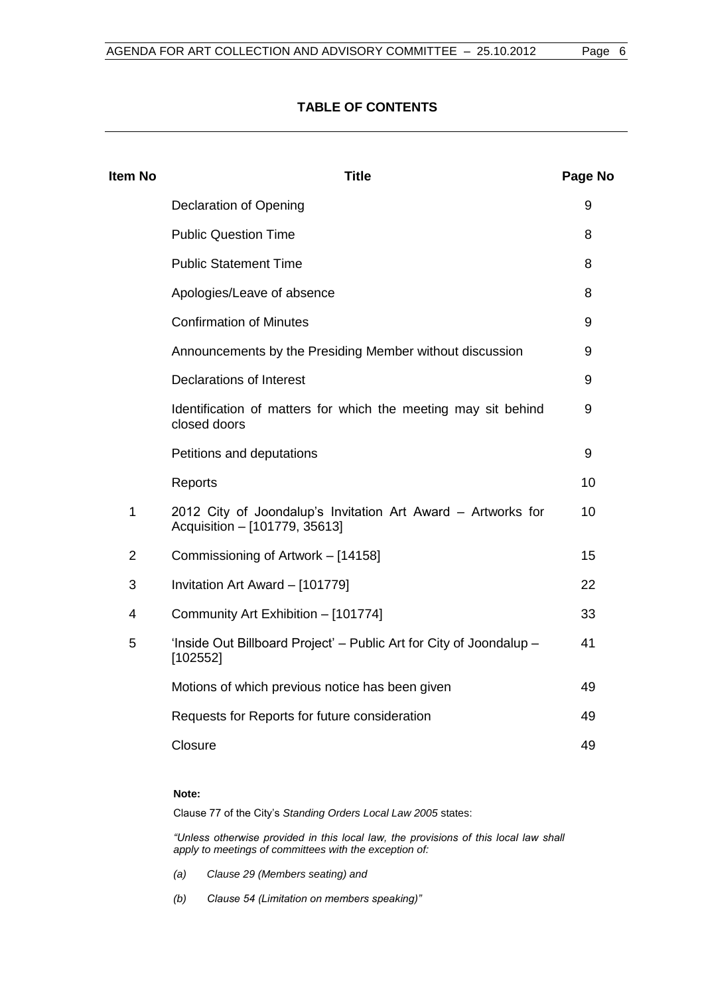# **TABLE OF CONTENTS**

| <b>Item No</b> | <b>Title</b>                                                                                  | Page No |
|----------------|-----------------------------------------------------------------------------------------------|---------|
|                | <b>Declaration of Opening</b>                                                                 | 9       |
|                | <b>Public Question Time</b>                                                                   | 8       |
|                | <b>Public Statement Time</b>                                                                  | 8       |
|                | Apologies/Leave of absence                                                                    | 8       |
|                | <b>Confirmation of Minutes</b>                                                                | 9       |
|                | Announcements by the Presiding Member without discussion                                      | 9       |
|                | <b>Declarations of Interest</b>                                                               | 9       |
|                | Identification of matters for which the meeting may sit behind<br>closed doors                | 9       |
|                | Petitions and deputations                                                                     | 9       |
|                | Reports                                                                                       | 10      |
| 1              | 2012 City of Joondalup's Invitation Art Award - Artworks for<br>Acquisition - [101779, 35613] | 10      |
| $\overline{2}$ | Commissioning of Artwork - [14158]                                                            | 15      |
| 3              | Invitation Art Award - [101779]                                                               | 22      |
| 4              | Community Art Exhibition - [101774]                                                           | 33      |
| 5              | 'Inside Out Billboard Project' – Public Art for City of Joondalup –<br>[102552]               | 41      |
|                | Motions of which previous notice has been given                                               | 49      |
|                | Requests for Reports for future consideration                                                 | 49      |
|                | Closure                                                                                       | 49      |
|                |                                                                                               |         |

#### **Note:**

Clause 77 of the City's *Standing Orders Local Law 2005* states:

*"Unless otherwise provided in this local law, the provisions of this local law shall apply to meetings of committees with the exception of:*

- *(a) Clause 29 (Members seating) and*
- *(b) Clause 54 (Limitation on members speaking)"*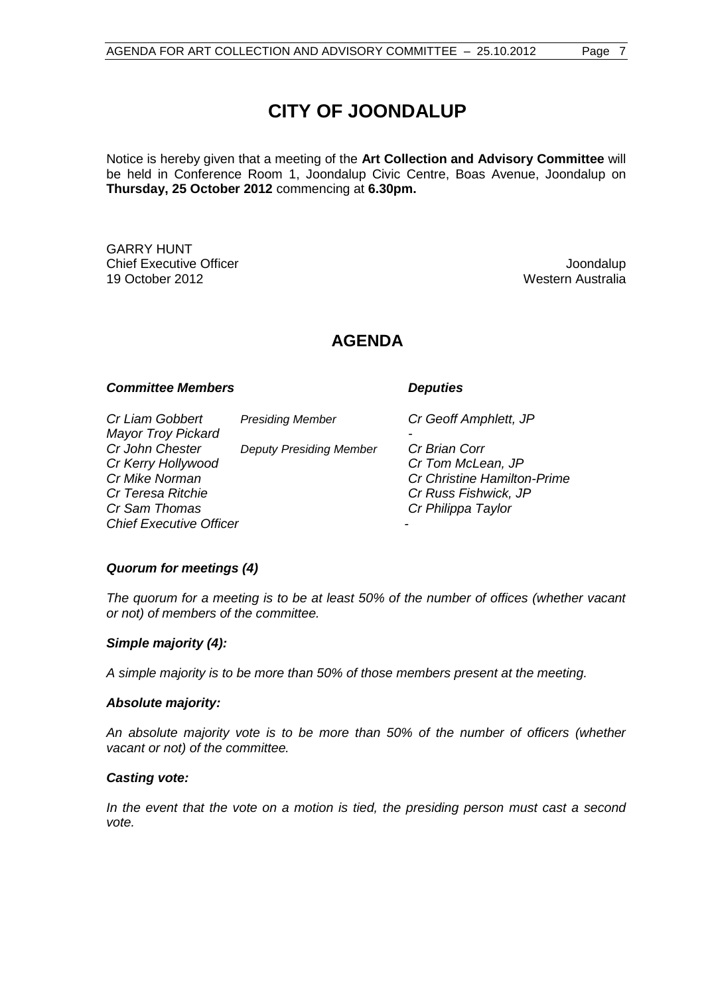# **CITY OF JOONDALUP**

Notice is hereby given that a meeting of the **Art Collection and Advisory Committee** will be held in Conference Room 1, Joondalup Civic Centre, Boas Avenue, Joondalup on **Thursday, 25 October 2012** commencing at **6.30pm.**

GARRY HUNT **Chief Executive Officer Joseph According to the Chief Executive Officer Joseph According to the Chief According to the Chief According to the Chief According to the Chief According to the Chief According to the Chief Acco** 19 October 2012 Western Australia

# **AGENDA**

#### *Committee Members Deputies*

*Cr Liam Gobbert Presiding Member Cr Geoff Amphlett, JP Mayor Troy Pickard - Cr John Chester Deputy Presiding Member Cr Brian Corr Cr Kerry Hollywood Cr Tom McLean, JP Cr Mike Norman Cr Christine Hamilton-Prime Cr Sam Thomas Cr Philippa Taylor Chief Executive Officer -*

*Cr Teresa Ritchie Cr Russ Fishwick, JP*

#### *Quorum for meetings (4)*

*The quorum for a meeting is to be at least 50% of the number of offices (whether vacant or not) of members of the committee.*

#### *Simple majority (4):*

*A simple majority is to be more than 50% of those members present at the meeting.*

#### *Absolute majority:*

*An absolute majority vote is to be more than 50% of the number of officers (whether vacant or not) of the committee.*

#### *Casting vote:*

*In the event that the vote on a motion is tied, the presiding person must cast a second vote.*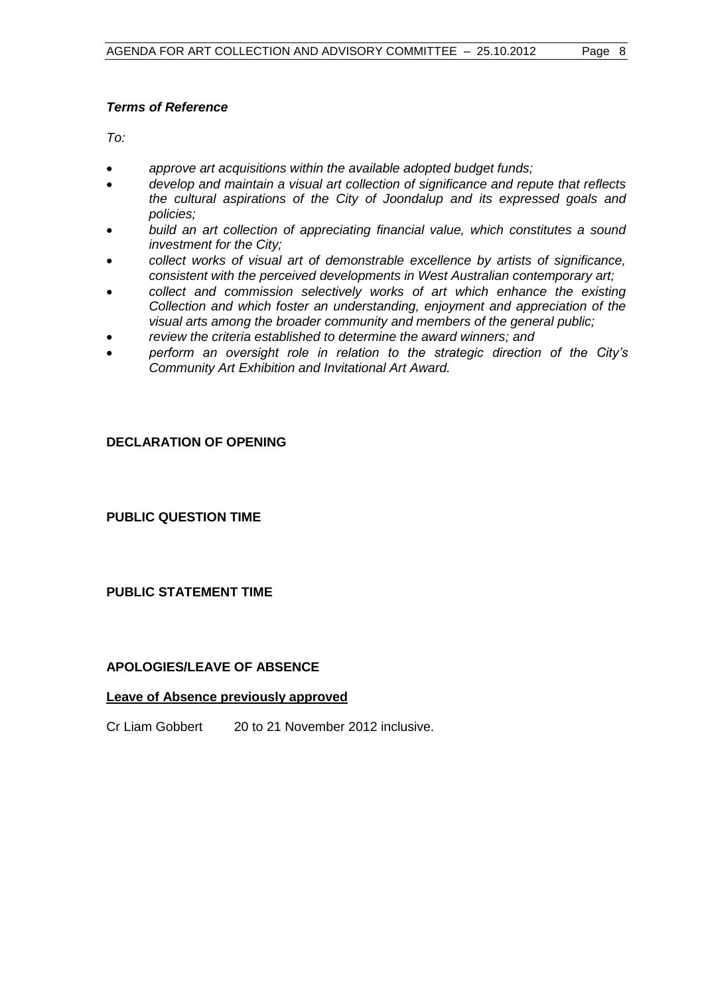# *Terms of Reference*

*To:*

- *approve art acquisitions within the available adopted budget funds;*
- *develop and maintain a visual art collection of significance and repute that reflects the cultural aspirations of the City of Joondalup and its expressed goals and policies;*
- *build an art collection of appreciating financial value, which constitutes a sound investment for the City;*
- *collect works of visual art of demonstrable excellence by artists of significance, consistent with the perceived developments in West Australian contemporary art;*
- *collect and commission selectively works of art which enhance the existing Collection and which foster an understanding, enjoyment and appreciation of the visual arts among the broader community and members of the general public;*
- *review the criteria established to determine the award winners; and*
- *perform an oversight role in relation to the strategic direction of the City's Community Art Exhibition and Invitational Art Award.*

# **DECLARATION OF OPENING**

<span id="page-7-0"></span>**PUBLIC QUESTION TIME**

# <span id="page-7-1"></span>**PUBLIC STATEMENT TIME**

# <span id="page-7-2"></span>**APOLOGIES/LEAVE OF ABSENCE**

# **Leave of Absence previously approved**

Cr Liam Gobbert 20 to 21 November 2012 inclusive.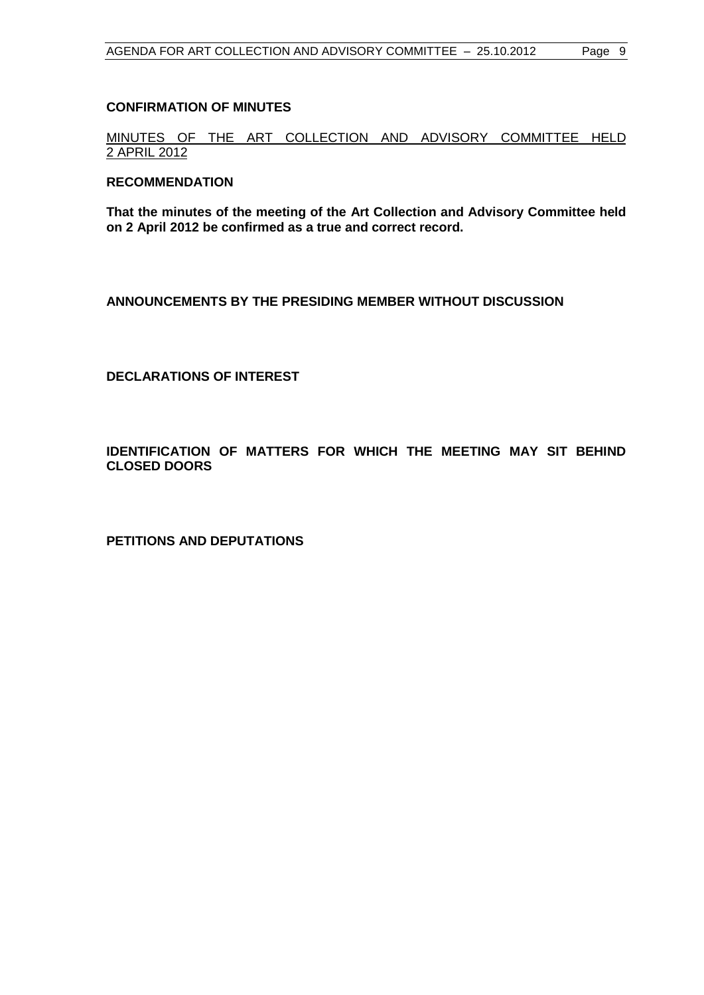### <span id="page-8-1"></span>**CONFIRMATION OF MINUTES**

MINUTES OF THE ART COLLECTION AND ADVISORY COMMITTEE HELD 2 APRIL 2012

#### **RECOMMENDATION**

**That the minutes of the meeting of the Art Collection and Advisory Committee held on 2 April 2012 be confirmed as a true and correct record.**

<span id="page-8-0"></span>**ANNOUNCEMENTS BY THE PRESIDING MEMBER WITHOUT DISCUSSION**

<span id="page-8-2"></span>**DECLARATIONS OF INTEREST**

<span id="page-8-3"></span>**IDENTIFICATION OF MATTERS FOR WHICH THE MEETING MAY SIT BEHIND CLOSED DOORS**

<span id="page-8-4"></span>**PETITIONS AND DEPUTATIONS**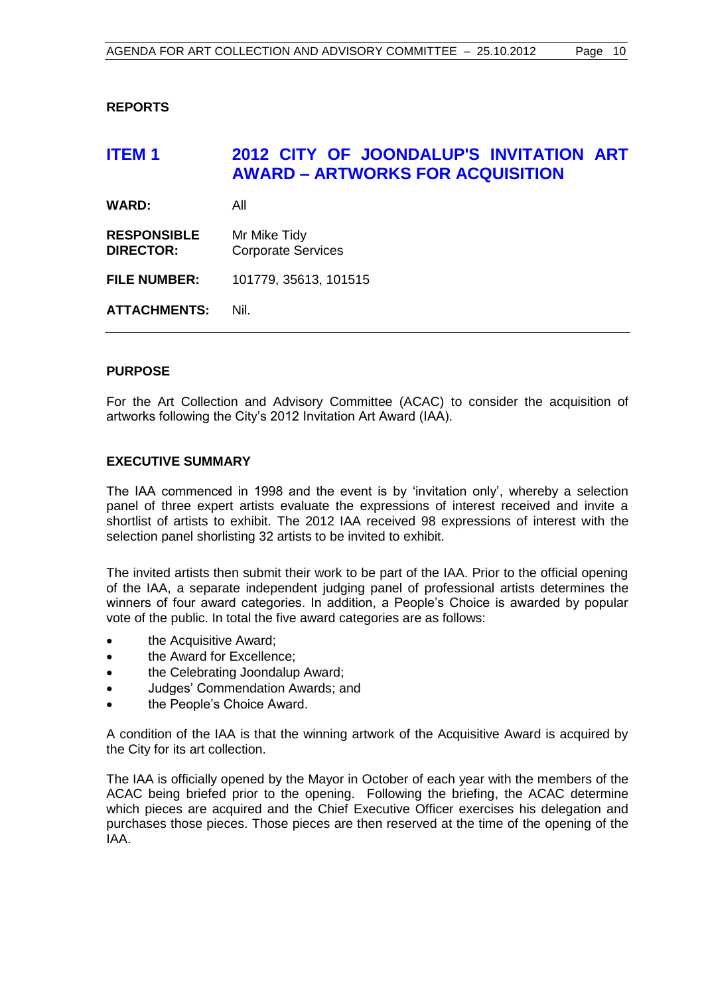# <span id="page-9-0"></span>**REPORTS**

# <span id="page-9-1"></span>**ITEM 1 2012 CITY OF JOONDALUP'S INVITATION ART AWARD – ARTWORKS FOR ACQUISITION**

**WARD:** All

**RESPONSIBLE** Mr Mike Tidy **DIRECTOR:** Corporate Services

**FILE NUMBER:** 101779, 35613, 101515

**ATTACHMENTS:** Nil.

# **PURPOSE**

For the Art Collection and Advisory Committee (ACAC) to consider the acquisition of artworks following the City's 2012 Invitation Art Award (IAA).

# **EXECUTIVE SUMMARY**

The IAA commenced in 1998 and the event is by 'invitation only', whereby a selection panel of three expert artists evaluate the expressions of interest received and invite a shortlist of artists to exhibit. The 2012 IAA received 98 expressions of interest with the selection panel shorlisting 32 artists to be invited to exhibit.

The invited artists then submit their work to be part of the IAA. Prior to the official opening of the IAA, a separate independent judging panel of professional artists determines the winners of four award categories. In addition, a People's Choice is awarded by popular vote of the public. In total the five award categories are as follows:

- the Acquisitive Award:
- the Award for Excellence:
- the Celebrating Joondalup Award;
- Judges' Commendation Awards; and
- the People's Choice Award.

A condition of the IAA is that the winning artwork of the Acquisitive Award is acquired by the City for its art collection.

The IAA is officially opened by the Mayor in October of each year with the members of the ACAC being briefed prior to the opening. Following the briefing, the ACAC determine which pieces are acquired and the Chief Executive Officer exercises his delegation and purchases those pieces. Those pieces are then reserved at the time of the opening of the IAA.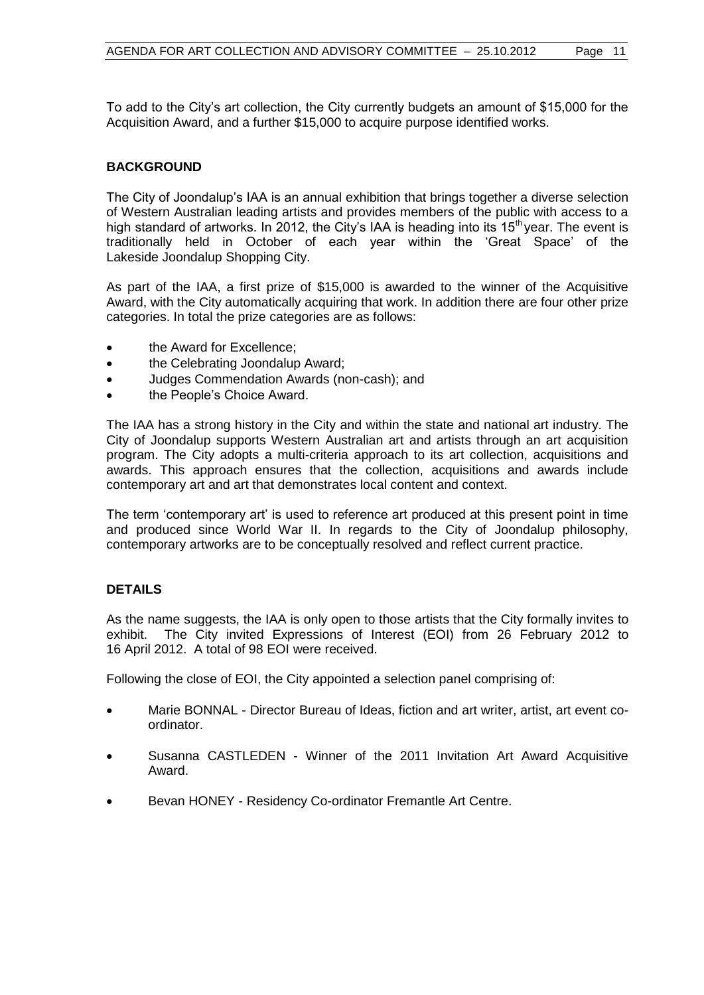To add to the City's art collection, the City currently budgets an amount of \$15,000 for the Acquisition Award, and a further \$15,000 to acquire purpose identified works.

# **BACKGROUND**

The City of Joondalup's IAA is an annual exhibition that brings together a diverse selection of Western Australian leading artists and provides members of the public with access to a high standard of artworks. In 2012, the City's IAA is heading into its  $15<sup>th</sup>$  year. The event is traditionally held in October of each year within the 'Great Space' of the Lakeside Joondalup Shopping City.

As part of the IAA, a first prize of \$15,000 is awarded to the winner of the Acquisitive Award, with the City automatically acquiring that work. In addition there are four other prize categories. In total the prize categories are as follows:

- the Award for Excellence:
- the Celebrating Joondalup Award:
- Judges Commendation Awards (non-cash); and
- the People's Choice Award.

The IAA has a strong history in the City and within the state and national art industry. The City of Joondalup supports Western Australian art and artists through an art acquisition program. The City adopts a multi-criteria approach to its art collection, acquisitions and awards. This approach ensures that the collection, acquisitions and awards include contemporary art and art that demonstrates local content and context.

The term 'contemporary art' is used to reference art produced at this present point in time and produced since World War II. In regards to the City of Joondalup philosophy, contemporary artworks are to be conceptually resolved and reflect current practice.

# **DETAILS**

As the name suggests, the IAA is only open to those artists that the City formally invites to exhibit. The City invited Expressions of Interest (EOI) from 26 February 2012 to 16 April 2012. A total of 98 EOI were received.

Following the close of EOI, the City appointed a selection panel comprising of:

- Marie BONNAL Director Bureau of Ideas, fiction and art writer, artist, art event coordinator.
- Susanna CASTLEDEN Winner of the 2011 Invitation Art Award Acquisitive Award.
- Bevan HONEY Residency Co-ordinator Fremantle Art Centre.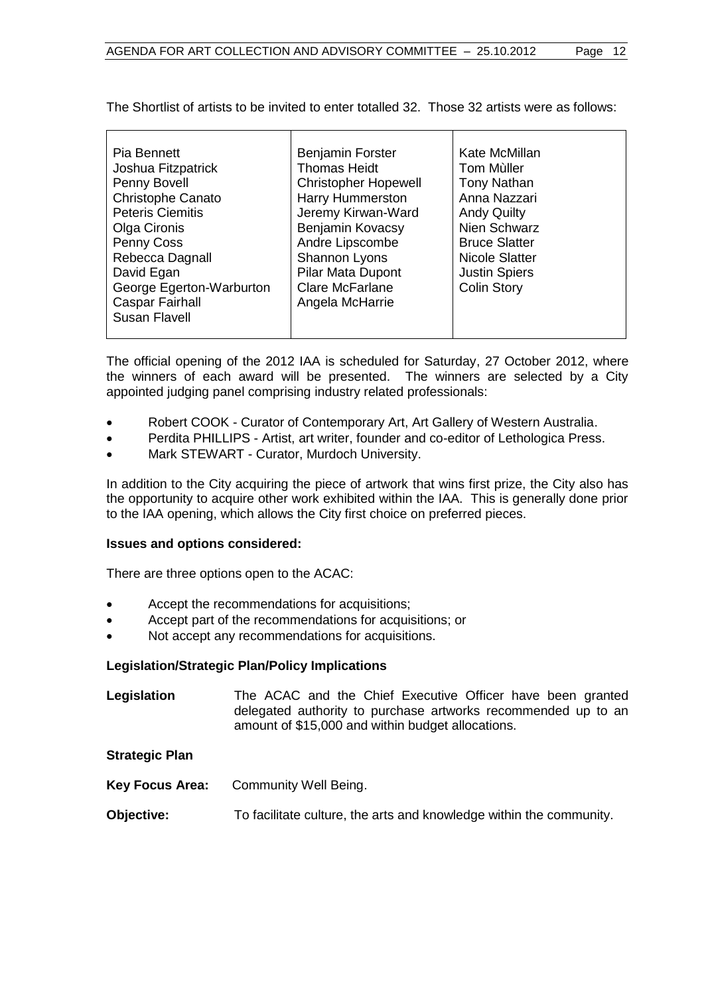The Shortlist of artists to be invited to enter totalled 32. Those 32 artists were as follows:

| Pia Bennett              | <b>Benjamin Forster</b>     | Kate McMillan        |
|--------------------------|-----------------------------|----------------------|
| Joshua Fitzpatrick       | <b>Thomas Heidt</b>         | Tom Muller           |
| Penny Bovell             | <b>Christopher Hopewell</b> | <b>Tony Nathan</b>   |
| <b>Christophe Canato</b> | <b>Harry Hummerston</b>     | Anna Nazzari         |
| <b>Peteris Ciemitis</b>  | Jeremy Kirwan-Ward          | <b>Andy Quilty</b>   |
| Olga Cironis             | Benjamin Kovacsy            | Nien Schwarz         |
| Penny Coss               | Andre Lipscombe             | <b>Bruce Slatter</b> |
| Rebecca Dagnall          | Shannon Lyons               | Nicole Slatter       |
| David Egan               | Pilar Mata Dupont           | <b>Justin Spiers</b> |
| George Egerton-Warburton | <b>Clare McFarlane</b>      | <b>Colin Story</b>   |
| <b>Caspar Fairhall</b>   | Angela McHarrie             |                      |
| Susan Flavell            |                             |                      |
|                          |                             |                      |

The official opening of the 2012 IAA is scheduled for Saturday, 27 October 2012, where the winners of each award will be presented. The winners are selected by a City appointed judging panel comprising industry related professionals:

- Robert COOK Curator of Contemporary Art, Art Gallery of Western Australia.
- Perdita PHILLIPS Artist, art writer, founder and co-editor of Lethologica Press.
- Mark STEWART Curator, Murdoch University.

In addition to the City acquiring the piece of artwork that wins first prize, the City also has the opportunity to acquire other work exhibited within the IAA. This is generally done prior to the IAA opening, which allows the City first choice on preferred pieces.

# **Issues and options considered:**

There are three options open to the ACAC:

- Accept the recommendations for acquisitions;
- Accept part of the recommendations for acquisitions; or
- Not accept any recommendations for acquisitions.

# **Legislation/Strategic Plan/Policy Implications**

**Legislation** The ACAC and the Chief Executive Officer have been granted delegated authority to purchase artworks recommended up to an amount of \$15,000 and within budget allocations.

# **Strategic Plan**

- **Key Focus Area:** Community Well Being.
- **Objective:** To facilitate culture, the arts and knowledge within the community.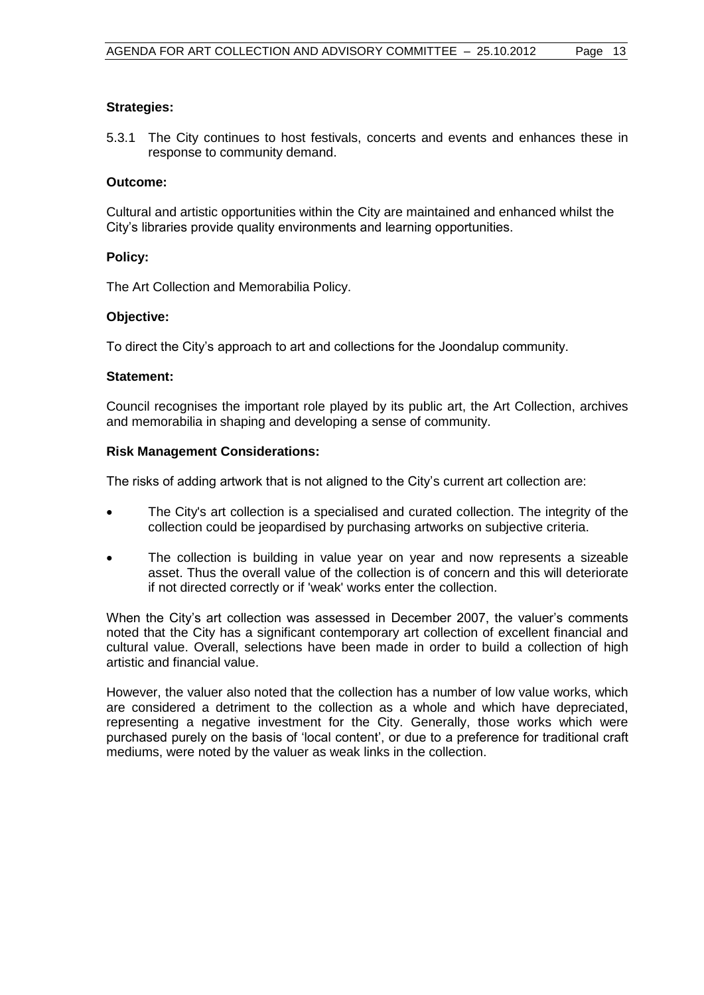# **Strategies:**

5.3.1 The City continues to host festivals, concerts and events and enhances these in response to community demand.

### **Outcome:**

Cultural and artistic opportunities within the City are maintained and enhanced whilst the City's libraries provide quality environments and learning opportunities.

# **Policy:**

The Art Collection and Memorabilia Policy.

# **Objective:**

To direct the City's approach to art and collections for the Joondalup community.

#### **Statement:**

Council recognises the important role played by its public art, the Art Collection, archives and memorabilia in shaping and developing a sense of community.

# **Risk Management Considerations:**

The risks of adding artwork that is not aligned to the City's current art collection are:

- The City's art collection is a specialised and curated collection. The integrity of the collection could be jeopardised by purchasing artworks on subjective criteria.
- The collection is building in value year on year and now represents a sizeable asset. Thus the overall value of the collection is of concern and this will deteriorate if not directed correctly or if 'weak' works enter the collection.

When the City's art collection was assessed in December 2007, the valuer's comments noted that the City has a significant contemporary art collection of excellent financial and cultural value. Overall, selections have been made in order to build a collection of high artistic and financial value.

However, the valuer also noted that the collection has a number of low value works, which are considered a detriment to the collection as a whole and which have depreciated, representing a negative investment for the City. Generally, those works which were purchased purely on the basis of 'local content', or due to a preference for traditional craft mediums, were noted by the valuer as weak links in the collection.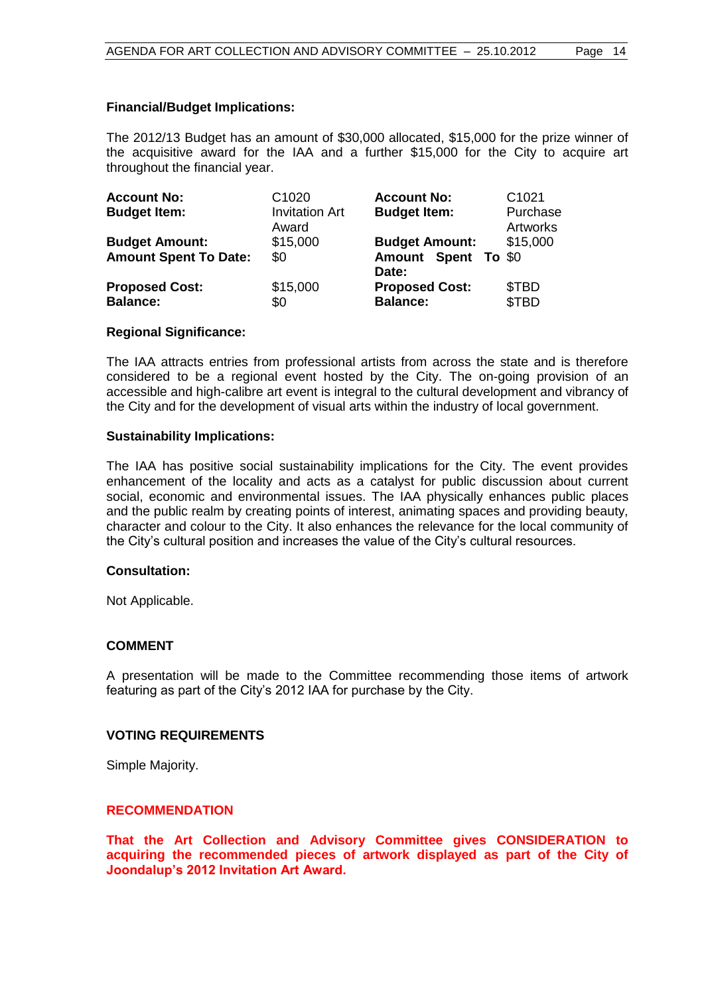# **Financial/Budget Implications:**

The 2012/13 Budget has an amount of \$30,000 allocated, \$15,000 for the prize winner of the acquisitive award for the IAA and a further \$15,000 for the City to acquire art throughout the financial year.

| <b>Account No:</b><br><b>Budget Item:</b>             | C <sub>1020</sub><br><b>Invitation Art</b><br>Award | <b>Account No:</b><br><b>Budget Item:</b>                    | C <sub>1021</sub><br>Purchase<br><b>Artworks</b> |
|-------------------------------------------------------|-----------------------------------------------------|--------------------------------------------------------------|--------------------------------------------------|
| <b>Budget Amount:</b><br><b>Amount Spent To Date:</b> | \$15,000<br>\$0                                     | <b>Budget Amount:</b><br><b>Amount Spent To \$0</b><br>Date: | \$15,000                                         |
| <b>Proposed Cost:</b><br><b>Balance:</b>              | \$15,000<br>\$0                                     | <b>Proposed Cost:</b><br><b>Balance:</b>                     | \$TBD<br>\$TBD                                   |

#### **Regional Significance:**

The IAA attracts entries from professional artists from across the state and is therefore considered to be a regional event hosted by the City. The on-going provision of an accessible and high-calibre art event is integral to the cultural development and vibrancy of the City and for the development of visual arts within the industry of local government.

#### **Sustainability Implications:**

The IAA has positive social sustainability implications for the City. The event provides enhancement of the locality and acts as a catalyst for public discussion about current social, economic and environmental issues. The IAA physically enhances public places and the public realm by creating points of interest, animating spaces and providing beauty, character and colour to the City. It also enhances the relevance for the local community of the City's cultural position and increases the value of the City's cultural resources.

#### **Consultation:**

Not Applicable.

#### **COMMENT**

A presentation will be made to the Committee recommending those items of artwork featuring as part of the City's 2012 IAA for purchase by the City.

#### **VOTING REQUIREMENTS**

Simple Majority.

#### **RECOMMENDATION**

**That the Art Collection and Advisory Committee gives CONSIDERATION to acquiring the recommended pieces of artwork displayed as part of the City of Joondalup's 2012 Invitation Art Award.**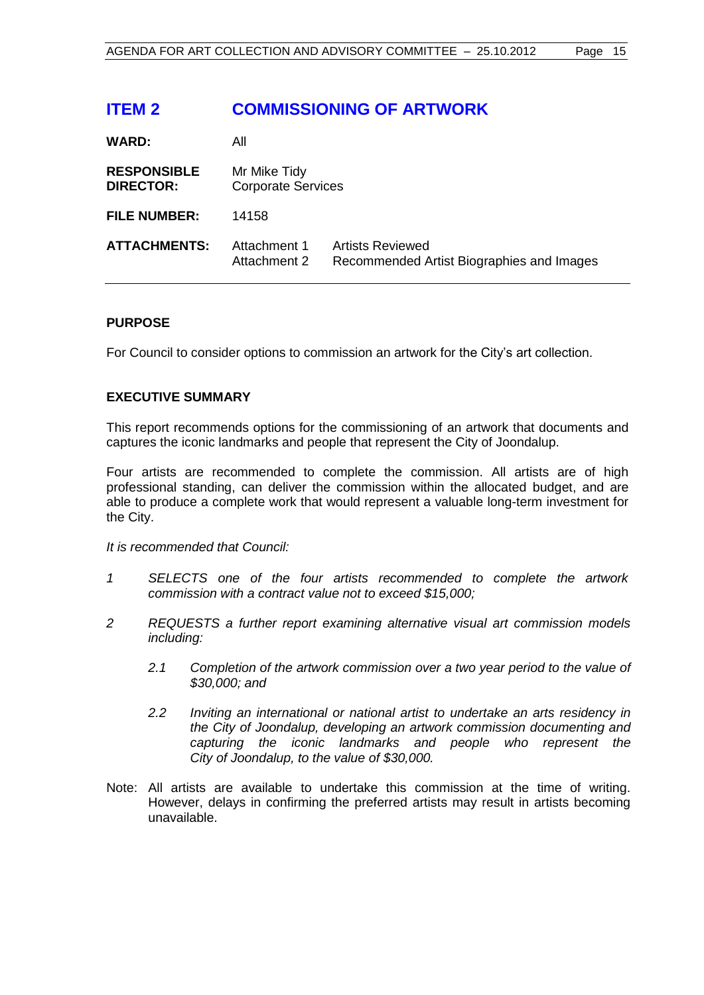# <span id="page-14-0"></span>**ITEM 2 COMMISSIONING OF ARTWORK**

| <b>WARD:</b>                           | All                                       |                                                                      |
|----------------------------------------|-------------------------------------------|----------------------------------------------------------------------|
| <b>RESPONSIBLE</b><br><b>DIRECTOR:</b> | Mr Mike Tidy<br><b>Corporate Services</b> |                                                                      |
| <b>FILE NUMBER:</b>                    | 14158                                     |                                                                      |
| <b>ATTACHMENTS:</b>                    | Attachment 1<br>Attachment 2              | <b>Artists Reviewed</b><br>Recommended Artist Biographies and Images |

# **PURPOSE**

For Council to consider options to commission an artwork for the City's art collection.

# **EXECUTIVE SUMMARY**

This report recommends options for the commissioning of an artwork that documents and captures the iconic landmarks and people that represent the City of Joondalup.

Four artists are recommended to complete the commission. All artists are of high professional standing, can deliver the commission within the allocated budget, and are able to produce a complete work that would represent a valuable long-term investment for the City.

*It is recommended that Council:*

- *1 SELECTS one of the four artists recommended to complete the artwork commission with a contract value not to exceed \$15,000;*
- *2 REQUESTS a further report examining alternative visual art commission models including:*
	- *2.1 Completion of the artwork commission over a two year period to the value of \$30,000; and*
	- *2.2 Inviting an international or national artist to undertake an arts residency in the City of Joondalup, developing an artwork commission documenting and capturing the iconic landmarks and people who represent the City of Joondalup, to the value of \$30,000.*
- Note: All artists are available to undertake this commission at the time of writing. However, delays in confirming the preferred artists may result in artists becoming unavailable.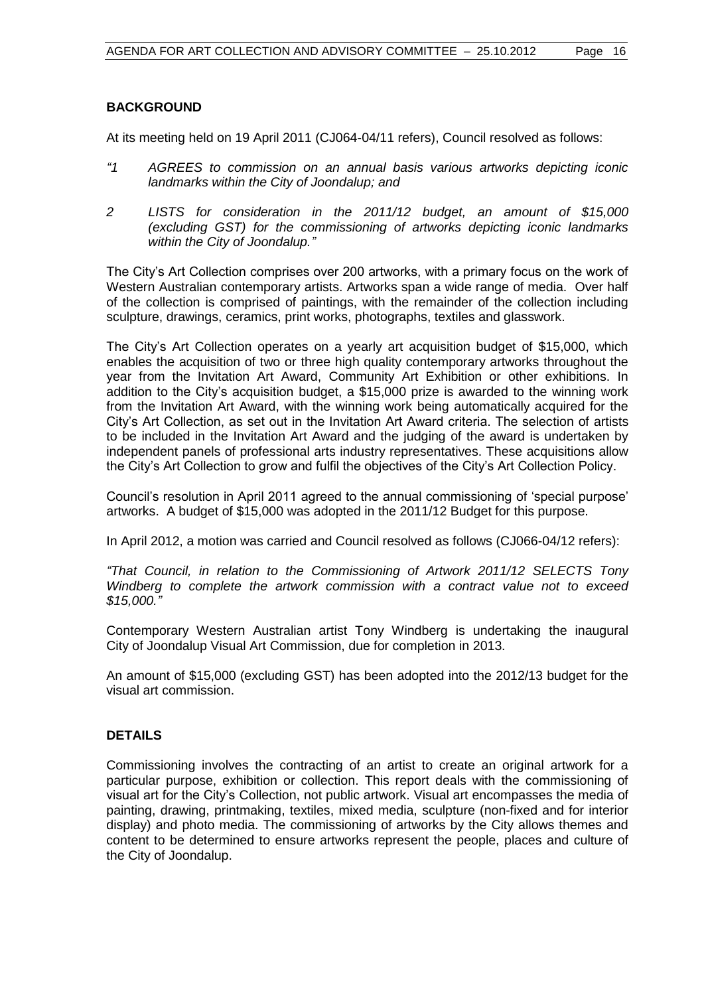# **BACKGROUND**

At its meeting held on 19 April 2011 (CJ064-04/11 refers), Council resolved as follows:

- *"1 AGREES to commission on an annual basis various artworks depicting iconic landmarks within the City of Joondalup; and*
- *2 LISTS for consideration in the 2011/12 budget, an amount of \$15,000 (excluding GST) for the commissioning of artworks depicting iconic landmarks within the City of Joondalup."*

The City's Art Collection comprises over 200 artworks, with a primary focus on the work of Western Australian contemporary artists. Artworks span a wide range of media. Over half of the collection is comprised of paintings, with the remainder of the collection including sculpture, drawings, ceramics, print works, photographs, textiles and glasswork.

The City's Art Collection operates on a yearly art acquisition budget of \$15,000, which enables the acquisition of two or three high quality contemporary artworks throughout the year from the Invitation Art Award, Community Art Exhibition or other exhibitions. In addition to the City's acquisition budget, a \$15,000 prize is awarded to the winning work from the Invitation Art Award, with the winning work being automatically acquired for the City's Art Collection, as set out in the Invitation Art Award criteria. The selection of artists to be included in the Invitation Art Award and the judging of the award is undertaken by independent panels of professional arts industry representatives. These acquisitions allow the City's Art Collection to grow and fulfil the objectives of the City's Art Collection Policy.

Council's resolution in April 2011 agreed to the annual commissioning of 'special purpose' artworks. A budget of \$15,000 was adopted in the 2011/12 Budget for this purpose.

In April 2012, a motion was carried and Council resolved as follows (CJ066-04/12 refers):

*"That Council, in relation to the Commissioning of Artwork 2011/12 SELECTS Tony Windberg to complete the artwork commission with a contract value not to exceed \$15,000."*

Contemporary Western Australian artist Tony Windberg is undertaking the inaugural City of Joondalup Visual Art Commission, due for completion in 2013.

An amount of \$15,000 (excluding GST) has been adopted into the 2012/13 budget for the visual art commission.

# **DETAILS**

Commissioning involves the contracting of an artist to create an original artwork for a particular purpose, exhibition or collection. This report deals with the commissioning of visual art for the City's Collection, not public artwork. Visual art encompasses the media of painting, drawing, printmaking, textiles, mixed media, sculpture (non-fixed and for interior display) and photo media. The commissioning of artworks by the City allows themes and content to be determined to ensure artworks represent the people, places and culture of the City of Joondalup.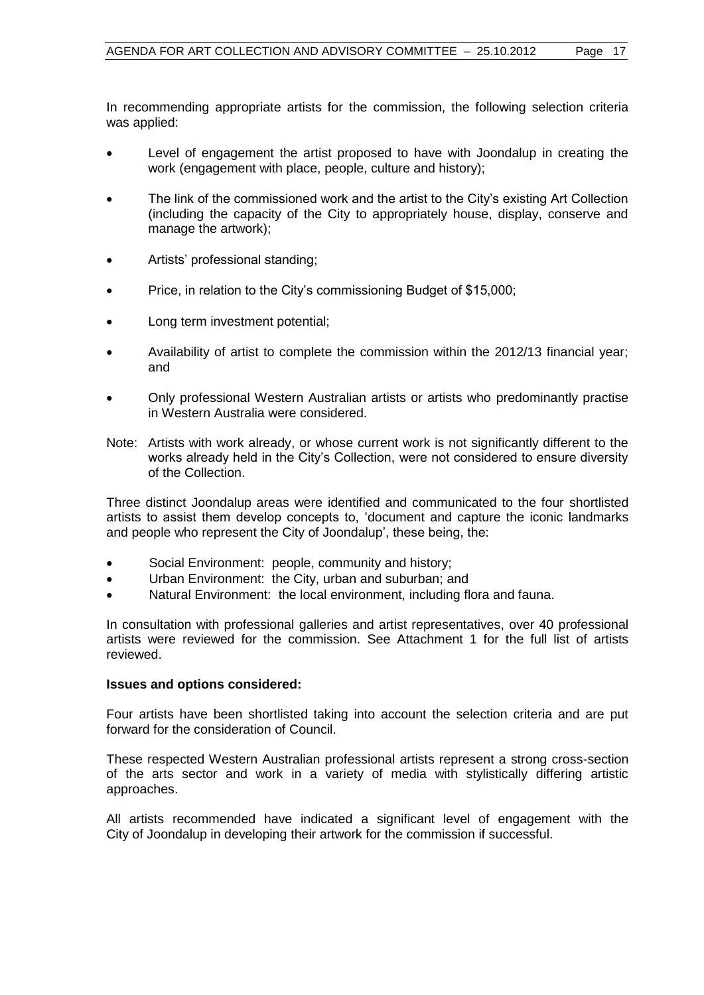In recommending appropriate artists for the commission, the following selection criteria was applied:

- Level of engagement the artist proposed to have with Joondalup in creating the work (engagement with place, people, culture and history);
- The link of the commissioned work and the artist to the City's existing Art Collection (including the capacity of the City to appropriately house, display, conserve and manage the artwork);
- Artists' professional standing;
- Price, in relation to the City's commissioning Budget of \$15,000;
- Long term investment potential;
- Availability of artist to complete the commission within the 2012/13 financial year; and
- Only professional Western Australian artists or artists who predominantly practise in Western Australia were considered.
- Note: Artists with work already, or whose current work is not significantly different to the works already held in the City's Collection, were not considered to ensure diversity of the Collection.

Three distinct Joondalup areas were identified and communicated to the four shortlisted artists to assist them develop concepts to, 'document and capture the iconic landmarks and people who represent the City of Joondalup', these being, the:

- Social Environment: people, community and history;
- Urban Environment: the City, urban and suburban; and
- Natural Environment: the local environment, including flora and fauna.

In consultation with professional galleries and artist representatives, over 40 professional artists were reviewed for the commission. See Attachment 1 for the full list of artists reviewed.

#### **Issues and options considered:**

Four artists have been shortlisted taking into account the selection criteria and are put forward for the consideration of Council.

These respected Western Australian professional artists represent a strong cross-section of the arts sector and work in a variety of media with stylistically differing artistic approaches.

All artists recommended have indicated a significant level of engagement with the City of Joondalup in developing their artwork for the commission if successful.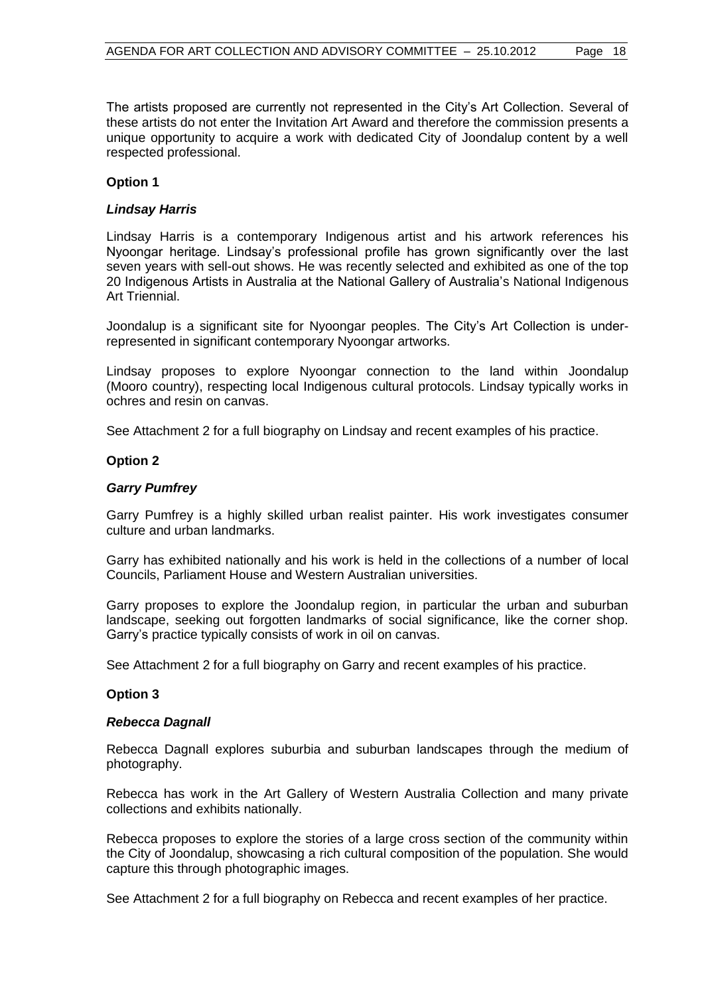The artists proposed are currently not represented in the City's Art Collection. Several of these artists do not enter the Invitation Art Award and therefore the commission presents a unique opportunity to acquire a work with dedicated City of Joondalup content by a well respected professional.

# **Option 1**

### *Lindsay Harris*

Lindsay Harris is a contemporary Indigenous artist and his artwork references his Nyoongar heritage. Lindsay's professional profile has grown significantly over the last seven years with sell-out shows. He was recently selected and exhibited as one of the top 20 Indigenous Artists in Australia at the National Gallery of Australia's National Indigenous Art Triennial.

Joondalup is a significant site for Nyoongar peoples. The City's Art Collection is underrepresented in significant contemporary Nyoongar artworks.

Lindsay proposes to explore Nyoongar connection to the land within Joondalup (Mooro country), respecting local Indigenous cultural protocols. Lindsay typically works in ochres and resin on canvas.

See Attachment 2 for a full biography on Lindsay and recent examples of his practice.

#### **Option 2**

#### *Garry Pumfrey*

Garry Pumfrey is a highly skilled urban realist painter. His work investigates consumer culture and urban landmarks.

Garry has exhibited nationally and his work is held in the collections of a number of local Councils, Parliament House and Western Australian universities.

Garry proposes to explore the Joondalup region, in particular the urban and suburban landscape, seeking out forgotten landmarks of social significance, like the corner shop. Garry's practice typically consists of work in oil on canvas.

See Attachment 2 for a full biography on Garry and recent examples of his practice.

#### **Option 3**

#### *Rebecca Dagnall*

Rebecca Dagnall explores suburbia and suburban landscapes through the medium of photography.

Rebecca has work in the Art Gallery of Western Australia Collection and many private collections and exhibits nationally.

Rebecca proposes to explore the stories of a large cross section of the community within the City of Joondalup, showcasing a rich cultural composition of the population. She would capture this through photographic images.

See Attachment 2 for a full biography on Rebecca and recent examples of her practice.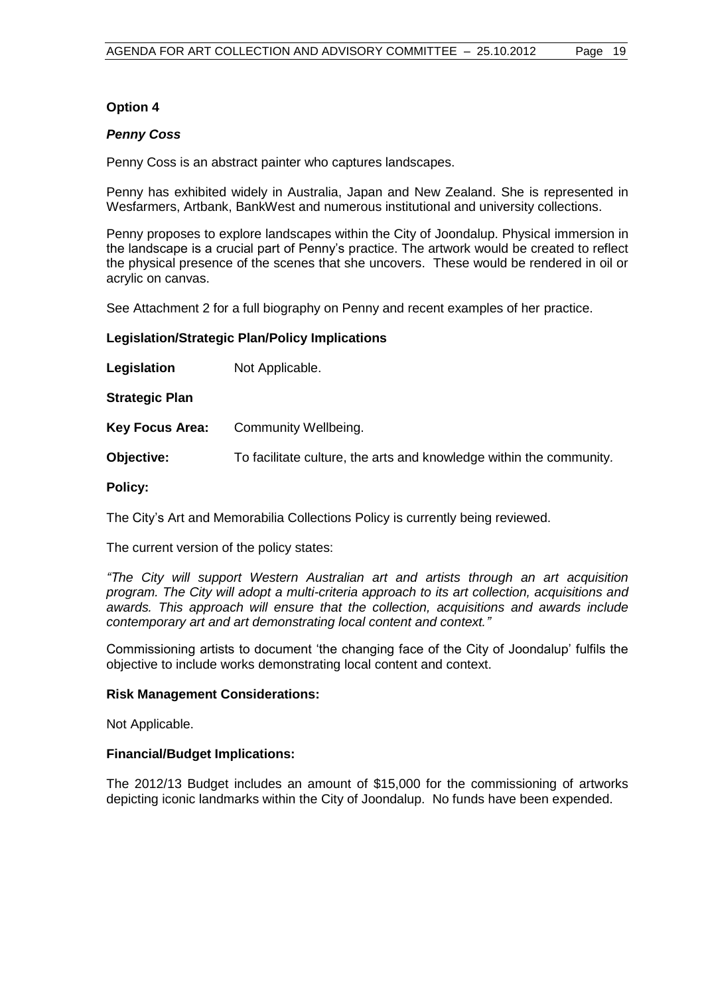# **Option 4**

#### *Penny Coss*

Penny Coss is an abstract painter who captures landscapes.

Penny has exhibited widely in Australia, Japan and New Zealand. She is represented in Wesfarmers, Artbank, BankWest and numerous institutional and university collections.

Penny proposes to explore landscapes within the City of Joondalup. Physical immersion in the landscape is a crucial part of Penny's practice. The artwork would be created to reflect the physical presence of the scenes that she uncovers. These would be rendered in oil or acrylic on canvas.

See Attachment 2 for a full biography on Penny and recent examples of her practice.

# **Legislation/Strategic Plan/Policy Implications**

**Legislation** Not Applicable.

**Strategic Plan**

**Key Focus Area:** Community Wellbeing.

**Objective:** To facilitate culture, the arts and knowledge within the community*.*

# **Policy:**

The City's Art and Memorabilia Collections Policy is currently being reviewed.

The current version of the policy states:

*"The City will support Western Australian art and artists through an art acquisition program. The City will adopt a multi-criteria approach to its art collection, acquisitions and awards. This approach will ensure that the collection, acquisitions and awards include contemporary art and art demonstrating local content and context."*

Commissioning artists to document 'the changing face of the City of Joondalup' fulfils the objective to include works demonstrating local content and context.

#### **Risk Management Considerations:**

Not Applicable.

#### **Financial/Budget Implications:**

The 2012/13 Budget includes an amount of \$15,000 for the commissioning of artworks depicting iconic landmarks within the City of Joondalup. No funds have been expended.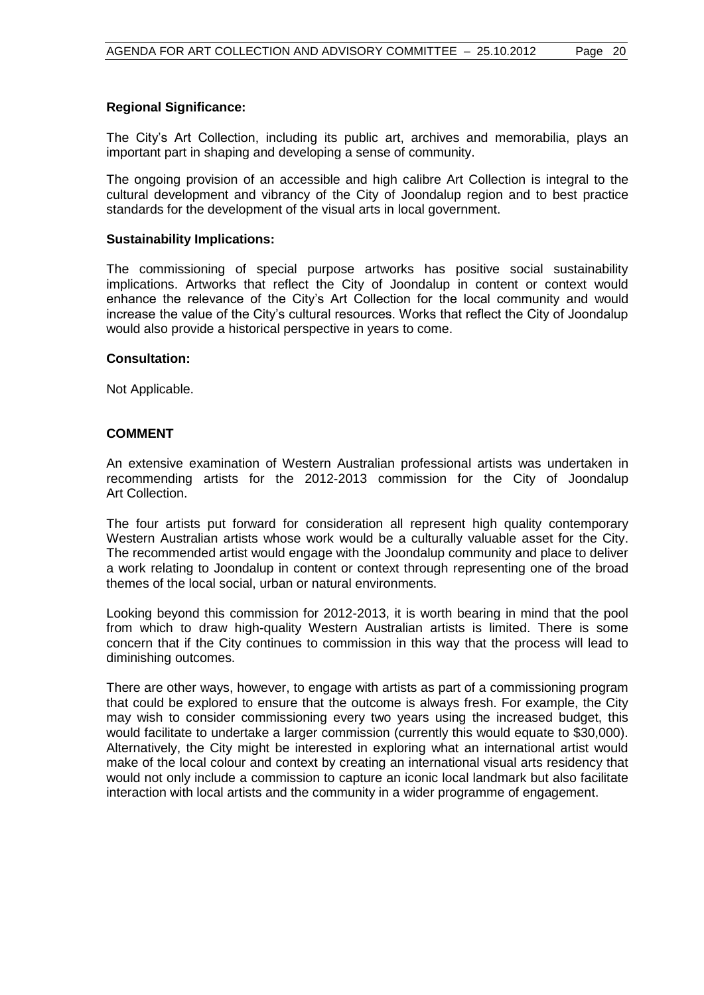# **Regional Significance:**

The City's Art Collection, including its public art, archives and memorabilia, plays an important part in shaping and developing a sense of community.

The ongoing provision of an accessible and high calibre Art Collection is integral to the cultural development and vibrancy of the City of Joondalup region and to best practice standards for the development of the visual arts in local government.

#### **Sustainability Implications:**

The commissioning of special purpose artworks has positive social sustainability implications. Artworks that reflect the City of Joondalup in content or context would enhance the relevance of the City's Art Collection for the local community and would increase the value of the City's cultural resources. Works that reflect the City of Joondalup would also provide a historical perspective in years to come.

#### **Consultation:**

Not Applicable.

# **COMMENT**

An extensive examination of Western Australian professional artists was undertaken in recommending artists for the 2012-2013 commission for the City of Joondalup Art Collection.

The four artists put forward for consideration all represent high quality contemporary Western Australian artists whose work would be a culturally valuable asset for the City. The recommended artist would engage with the Joondalup community and place to deliver a work relating to Joondalup in content or context through representing one of the broad themes of the local social, urban or natural environments.

Looking beyond this commission for 2012-2013, it is worth bearing in mind that the pool from which to draw high-quality Western Australian artists is limited. There is some concern that if the City continues to commission in this way that the process will lead to diminishing outcomes.

There are other ways, however, to engage with artists as part of a commissioning program that could be explored to ensure that the outcome is always fresh. For example, the City may wish to consider commissioning every two years using the increased budget, this would facilitate to undertake a larger commission (currently this would equate to \$30,000). Alternatively, the City might be interested in exploring what an international artist would make of the local colour and context by creating an international visual arts residency that would not only include a commission to capture an iconic local landmark but also facilitate interaction with local artists and the community in a wider programme of engagement.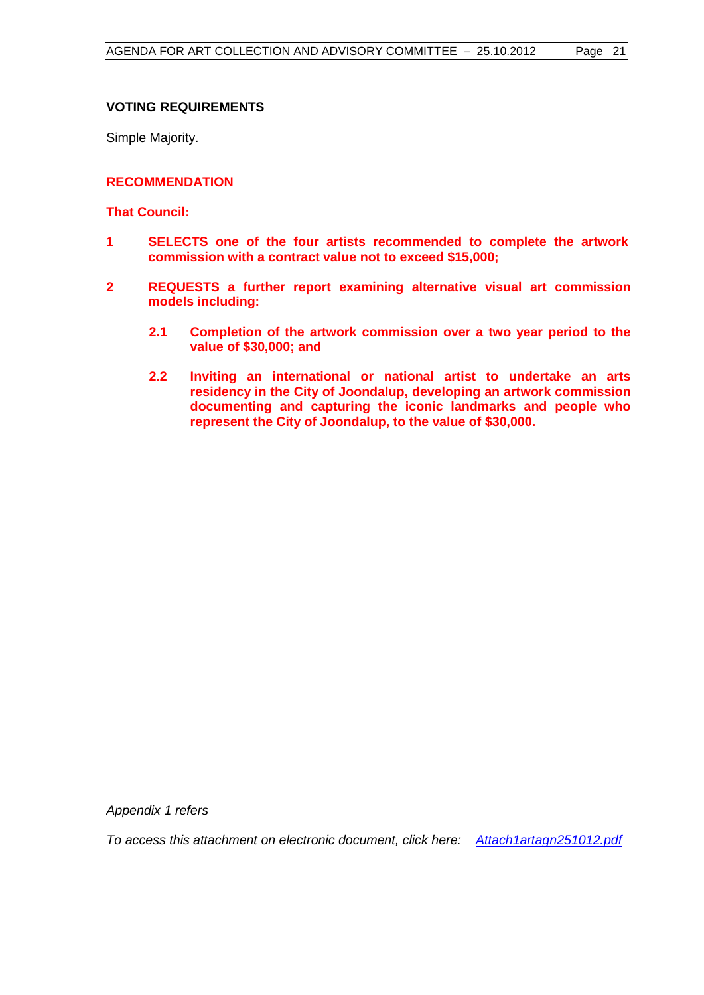# **VOTING REQUIREMENTS**

Simple Majority.

### **RECOMMENDATION**

# **That Council:**

- **1 SELECTS one of the four artists recommended to complete the artwork commission with a contract value not to exceed \$15,000;**
- **2 REQUESTS a further report examining alternative visual art commission models including:**
	- **2.1 Completion of the artwork commission over a two year period to the value of \$30,000; and**
	- **2.2 Inviting an international or national artist to undertake an arts residency in the City of Joondalup, developing an artwork commission documenting and capturing the iconic landmarks and people who represent the City of Joondalup, to the value of \$30,000.**

*Appendix 1 refers*

*To access this attachment on electronic document, click here:[Attach1artagn251012.pdf](Attachments/Attach1artagn251012.pdf)*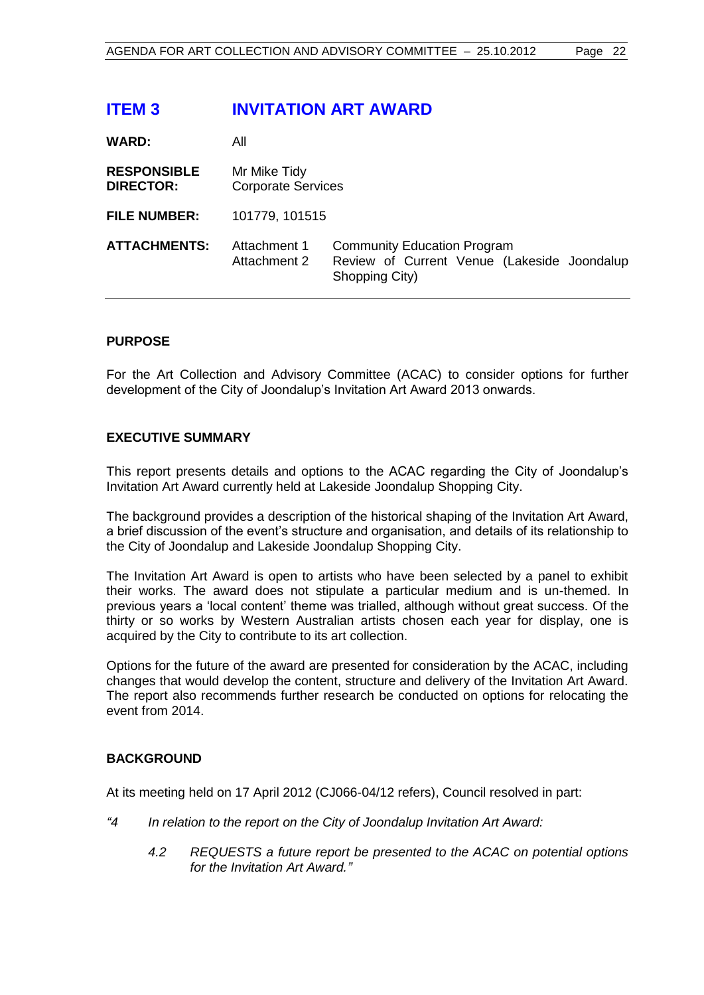# <span id="page-21-0"></span>**ITEM 3 INVITATION ART AWARD**

| <b>WARD:</b>                           | All                                       |                                                                                                     |
|----------------------------------------|-------------------------------------------|-----------------------------------------------------------------------------------------------------|
| <b>RESPONSIBLE</b><br><b>DIRECTOR:</b> | Mr Mike Tidy<br><b>Corporate Services</b> |                                                                                                     |
| <b>FILE NUMBER:</b>                    | 101779, 101515                            |                                                                                                     |
| <b>ATTACHMENTS:</b>                    | Attachment 1<br>Attachment 2              | <b>Community Education Program</b><br>Review of Current Venue (Lakeside Joondalup<br>Shopping City) |

# **PURPOSE**

For the Art Collection and Advisory Committee (ACAC) to consider options for further development of the City of Joondalup's Invitation Art Award 2013 onwards.

#### **EXECUTIVE SUMMARY**

This report presents details and options to the ACAC regarding the City of Joondalup's Invitation Art Award currently held at Lakeside Joondalup Shopping City.

The background provides a description of the historical shaping of the Invitation Art Award, a brief discussion of the event's structure and organisation, and details of its relationship to the City of Joondalup and Lakeside Joondalup Shopping City.

The Invitation Art Award is open to artists who have been selected by a panel to exhibit their works. The award does not stipulate a particular medium and is un-themed. In previous years a 'local content' theme was trialled, although without great success. Of the thirty or so works by Western Australian artists chosen each year for display, one is acquired by the City to contribute to its art collection.

Options for the future of the award are presented for consideration by the ACAC, including changes that would develop the content, structure and delivery of the Invitation Art Award. The report also recommends further research be conducted on options for relocating the event from 2014.

# **BACKGROUND**

At its meeting held on 17 April 2012 (CJ066-04/12 refers), Council resolved in part:

- *"4 In relation to the report on the City of Joondalup Invitation Art Award:*
	- *4.2 REQUESTS a future report be presented to the ACAC on potential options for the Invitation Art Award."*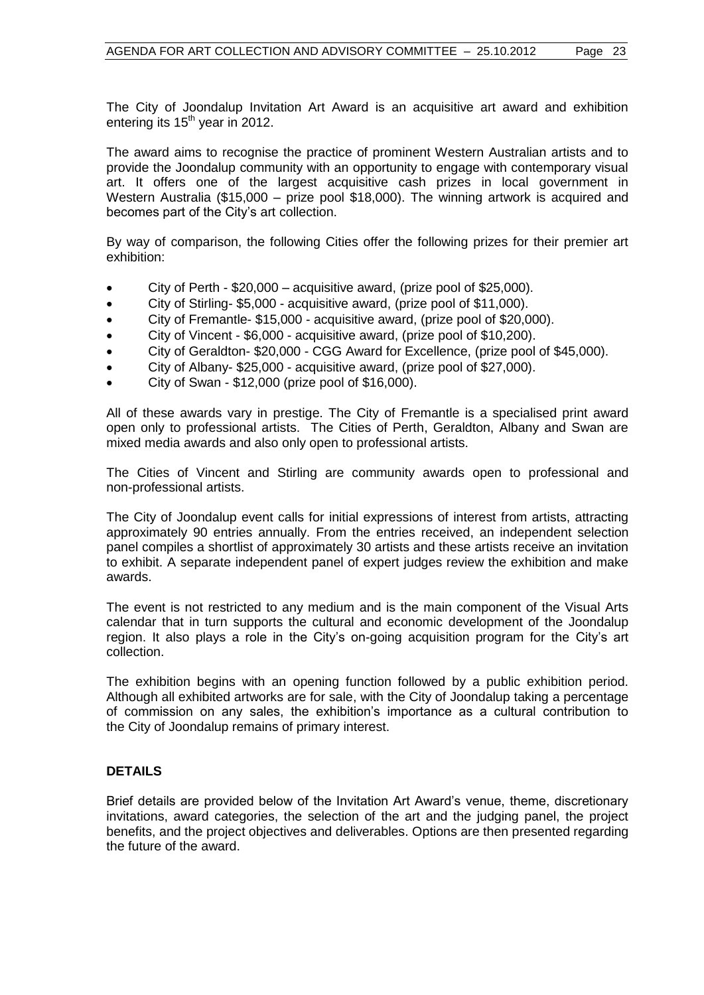The City of Joondalup Invitation Art Award is an acquisitive art award and exhibition entering its  $15<sup>th</sup>$  year in 2012.

The award aims to recognise the practice of prominent Western Australian artists and to provide the Joondalup community with an opportunity to engage with contemporary visual art. It offers one of the largest acquisitive cash prizes in local government in Western Australia (\$15,000 – prize pool \$18,000). The winning artwork is acquired and becomes part of the City's art collection.

By way of comparison, the following Cities offer the following prizes for their premier art exhibition:

- City of Perth \$20,000 acquisitive award, (prize pool of \$25,000).
- City of Stirling- \$5,000 acquisitive award, (prize pool of \$11,000).
- City of Fremantle- \$15,000 acquisitive award, (prize pool of \$20,000).
- City of Vincent \$6,000 acquisitive award, (prize pool of \$10,200).
- City of Geraldton- \$20,000 CGG Award for Excellence, (prize pool of \$45,000).
- City of Albany- \$25,000 acquisitive award, (prize pool of \$27,000).
- City of Swan \$12,000 (prize pool of \$16,000).

All of these awards vary in prestige. The City of Fremantle is a specialised print award open only to professional artists. The Cities of Perth, Geraldton, Albany and Swan are mixed media awards and also only open to professional artists.

The Cities of Vincent and Stirling are community awards open to professional and non-professional artists.

The City of Joondalup event calls for initial expressions of interest from artists, attracting approximately 90 entries annually. From the entries received, an independent selection panel compiles a shortlist of approximately 30 artists and these artists receive an invitation to exhibit. A separate independent panel of expert judges review the exhibition and make awards.

The event is not restricted to any medium and is the main component of the Visual Arts calendar that in turn supports the cultural and economic development of the Joondalup region. It also plays a role in the City's on-going acquisition program for the City's art collection.

The exhibition begins with an opening function followed by a public exhibition period. Although all exhibited artworks are for sale, with the City of Joondalup taking a percentage of commission on any sales, the exhibition's importance as a cultural contribution to the City of Joondalup remains of primary interest.

# **DETAILS**

Brief details are provided below of the Invitation Art Award's venue, theme, discretionary invitations, award categories, the selection of the art and the judging panel, the project benefits, and the project objectives and deliverables. Options are then presented regarding the future of the award.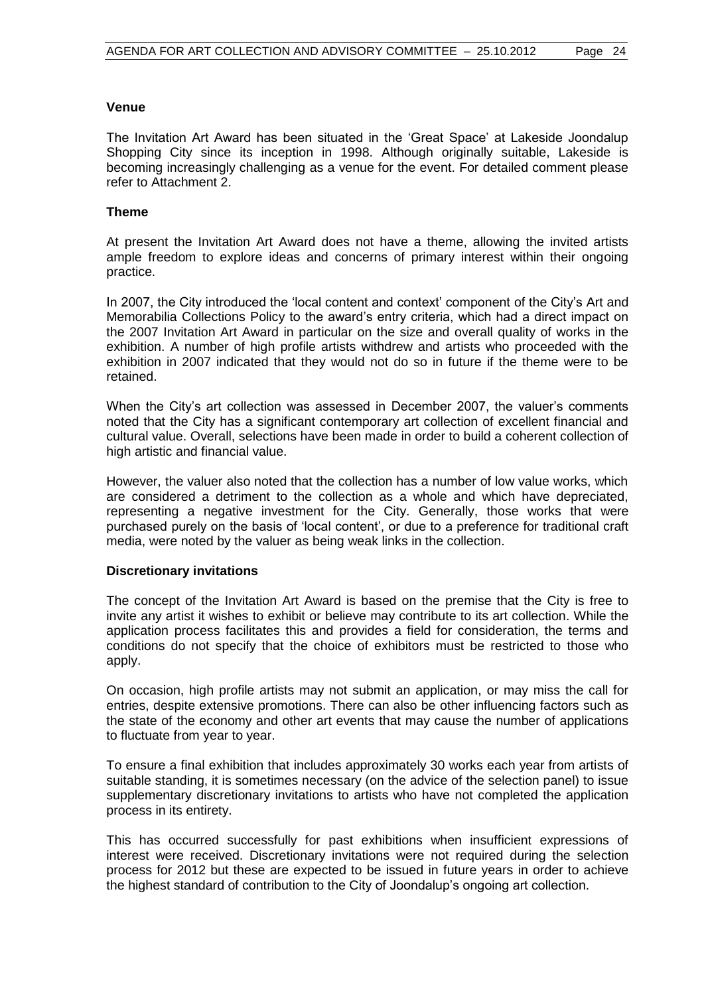#### **Venue**

The Invitation Art Award has been situated in the 'Great Space' at Lakeside Joondalup Shopping City since its inception in 1998. Although originally suitable, Lakeside is becoming increasingly challenging as a venue for the event. For detailed comment please refer to Attachment 2.

### **Theme**

At present the Invitation Art Award does not have a theme, allowing the invited artists ample freedom to explore ideas and concerns of primary interest within their ongoing practice.

In 2007, the City introduced the 'local content and context' component of the City's Art and Memorabilia Collections Policy to the award's entry criteria, which had a direct impact on the 2007 Invitation Art Award in particular on the size and overall quality of works in the exhibition. A number of high profile artists withdrew and artists who proceeded with the exhibition in 2007 indicated that they would not do so in future if the theme were to be retained.

When the City's art collection was assessed in December 2007, the valuer's comments noted that the City has a significant contemporary art collection of excellent financial and cultural value. Overall, selections have been made in order to build a coherent collection of high artistic and financial value.

However, the valuer also noted that the collection has a number of low value works, which are considered a detriment to the collection as a whole and which have depreciated, representing a negative investment for the City. Generally, those works that were purchased purely on the basis of 'local content', or due to a preference for traditional craft media, were noted by the valuer as being weak links in the collection.

#### **Discretionary invitations**

The concept of the Invitation Art Award is based on the premise that the City is free to invite any artist it wishes to exhibit or believe may contribute to its art collection. While the application process facilitates this and provides a field for consideration, the terms and conditions do not specify that the choice of exhibitors must be restricted to those who apply.

On occasion, high profile artists may not submit an application, or may miss the call for entries, despite extensive promotions. There can also be other influencing factors such as the state of the economy and other art events that may cause the number of applications to fluctuate from year to year.

To ensure a final exhibition that includes approximately 30 works each year from artists of suitable standing, it is sometimes necessary (on the advice of the selection panel) to issue supplementary discretionary invitations to artists who have not completed the application process in its entirety.

This has occurred successfully for past exhibitions when insufficient expressions of interest were received. Discretionary invitations were not required during the selection process for 2012 but these are expected to be issued in future years in order to achieve the highest standard of contribution to the City of Joondalup's ongoing art collection.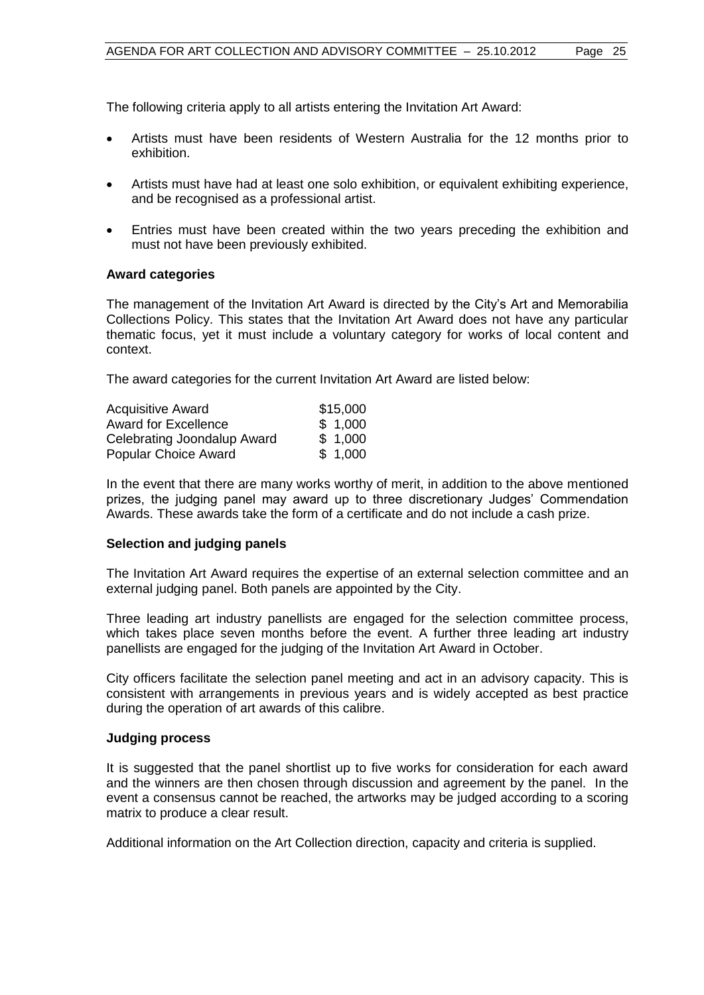- Artists must have been residents of Western Australia for the 12 months prior to exhibition.
- Artists must have had at least one solo exhibition, or equivalent exhibiting experience, and be recognised as a professional artist.
- Entries must have been created within the two years preceding the exhibition and must not have been previously exhibited.

#### **Award categories**

The management of the Invitation Art Award is directed by the City's Art and Memorabilia Collections Policy. This states that the Invitation Art Award does not have any particular thematic focus, yet it must include a voluntary category for works of local content and context.

The award categories for the current Invitation Art Award are listed below:

| <b>Acquisitive Award</b>    | \$15,000 |
|-----------------------------|----------|
| <b>Award for Excellence</b> | \$1,000  |
| Celebrating Joondalup Award | \$1,000  |
| <b>Popular Choice Award</b> | \$1,000  |

In the event that there are many works worthy of merit, in addition to the above mentioned prizes, the judging panel may award up to three discretionary Judges' Commendation Awards. These awards take the form of a certificate and do not include a cash prize.

#### **Selection and judging panels**

The Invitation Art Award requires the expertise of an external selection committee and an external judging panel. Both panels are appointed by the City.

Three leading art industry panellists are engaged for the selection committee process, which takes place seven months before the event. A further three leading art industry panellists are engaged for the judging of the Invitation Art Award in October.

City officers facilitate the selection panel meeting and act in an advisory capacity. This is consistent with arrangements in previous years and is widely accepted as best practice during the operation of art awards of this calibre.

#### **Judging process**

It is suggested that the panel shortlist up to five works for consideration for each award and the winners are then chosen through discussion and agreement by the panel. In the event a consensus cannot be reached, the artworks may be judged according to a scoring matrix to produce a clear result.

Additional information on the Art Collection direction, capacity and criteria is supplied.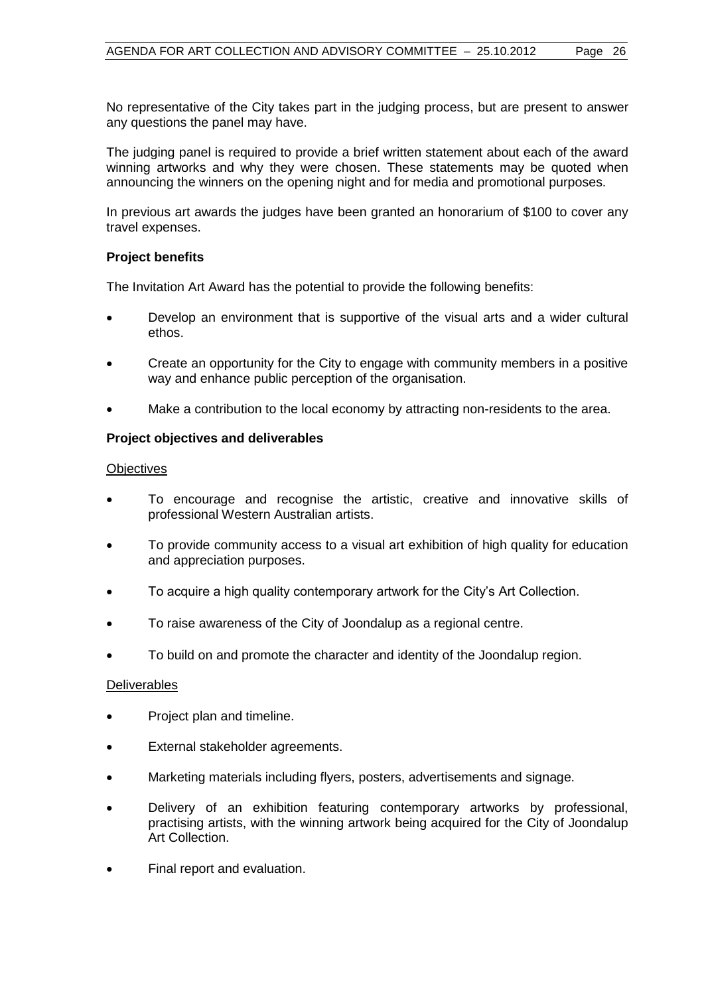No representative of the City takes part in the judging process, but are present to answer any questions the panel may have.

The judging panel is required to provide a brief written statement about each of the award winning artworks and why they were chosen. These statements may be quoted when announcing the winners on the opening night and for media and promotional purposes.

In previous art awards the judges have been granted an honorarium of \$100 to cover any travel expenses.

# **Project benefits**

The Invitation Art Award has the potential to provide the following benefits:

- Develop an environment that is supportive of the visual arts and a wider cultural ethos.
- Create an opportunity for the City to engage with community members in a positive way and enhance public perception of the organisation.
- Make a contribution to the local economy by attracting non-residents to the area.

# **Project objectives and deliverables**

#### **Objectives**

- To encourage and recognise the artistic, creative and innovative skills of professional Western Australian artists.
- To provide community access to a visual art exhibition of high quality for education and appreciation purposes.
- To acquire a high quality contemporary artwork for the City's Art Collection.
- To raise awareness of the City of Joondalup as a regional centre.
- To build on and promote the character and identity of the Joondalup region.

#### Deliverables

- Project plan and timeline.
- External stakeholder agreements.
- Marketing materials including flyers, posters, advertisements and signage.
- Delivery of an exhibition featuring contemporary artworks by professional, practising artists, with the winning artwork being acquired for the City of Joondalup Art Collection.
- Final report and evaluation.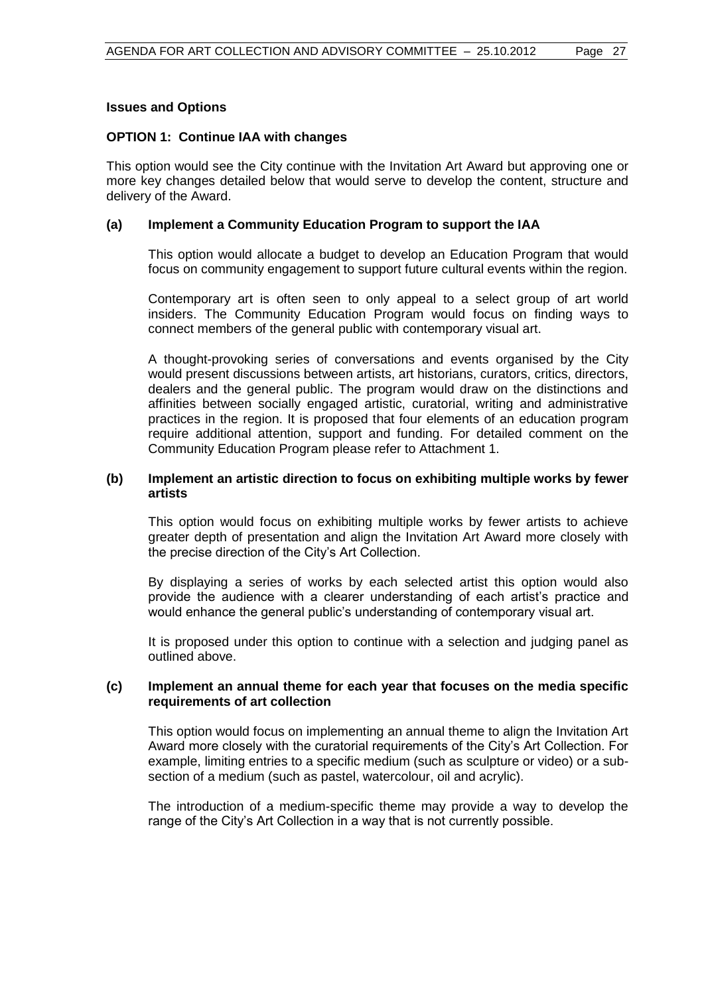#### **Issues and Options**

### **OPTION 1: Continue IAA with changes**

This option would see the City continue with the Invitation Art Award but approving one or more key changes detailed below that would serve to develop the content, structure and delivery of the Award.

# **(a) Implement a Community Education Program to support the IAA**

This option would allocate a budget to develop an Education Program that would focus on community engagement to support future cultural events within the region.

Contemporary art is often seen to only appeal to a select group of art world insiders. The Community Education Program would focus on finding ways to connect members of the general public with contemporary visual art.

A thought-provoking series of conversations and events organised by the City would present discussions between artists, art historians, curators, critics, directors, dealers and the general public. The program would draw on the distinctions and affinities between socially engaged artistic, curatorial, writing and administrative practices in the region. It is proposed that four elements of an education program require additional attention, support and funding. For detailed comment on the Community Education Program please refer to Attachment 1.

# **(b) Implement an artistic direction to focus on exhibiting multiple works by fewer artists**

This option would focus on exhibiting multiple works by fewer artists to achieve greater depth of presentation and align the Invitation Art Award more closely with the precise direction of the City's Art Collection.

By displaying a series of works by each selected artist this option would also provide the audience with a clearer understanding of each artist's practice and would enhance the general public's understanding of contemporary visual art.

It is proposed under this option to continue with a selection and judging panel as outlined above.

# **(c) Implement an annual theme for each year that focuses on the media specific requirements of art collection**

This option would focus on implementing an annual theme to align the Invitation Art Award more closely with the curatorial requirements of the City's Art Collection. For example, limiting entries to a specific medium (such as sculpture or video) or a subsection of a medium (such as pastel, watercolour, oil and acrylic).

The introduction of a medium-specific theme may provide a way to develop the range of the City's Art Collection in a way that is not currently possible.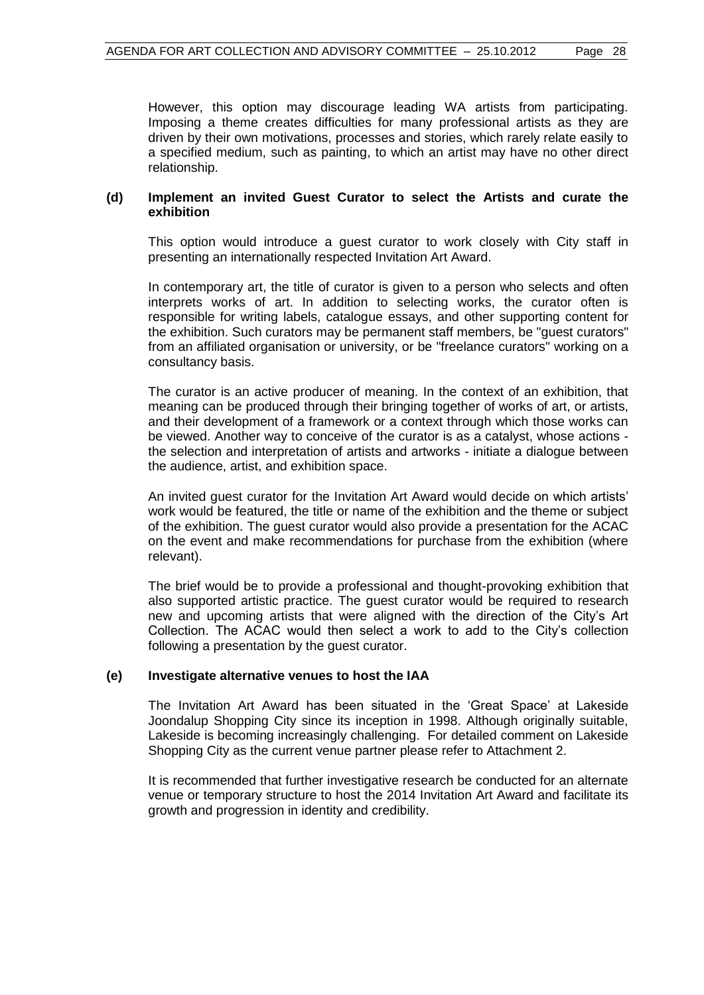However, this option may discourage leading WA artists from participating. Imposing a theme creates difficulties for many professional artists as they are driven by their own motivations, processes and stories, which rarely relate easily to a specified medium, such as painting, to which an artist may have no other direct relationship.

#### **(d) Implement an invited Guest Curator to select the Artists and curate the exhibition**

This option would introduce a guest curator to work closely with City staff in presenting an internationally respected Invitation Art Award.

In contemporary art, the title of curator is given to a person who selects and often interprets works of art. In addition to selecting works, the curator often is responsible for writing labels, catalogue essays, and other supporting content for the exhibition. Such curators may be permanent staff members, be "guest curators" from an affiliated organisation or university, or be "freelance curators" working on a consultancy basis.

The curator is an active producer of meaning. In the context of an exhibition, that meaning can be produced through their bringing together of works of art, or artists, and their development of a framework or a context through which those works can be viewed. Another way to conceive of the curator is as a catalyst, whose actions the selection and interpretation of artists and artworks - initiate a dialogue between the audience, artist, and exhibition space.

An invited guest curator for the Invitation Art Award would decide on which artists' work would be featured, the title or name of the exhibition and the theme or subject of the exhibition. The guest curator would also provide a presentation for the ACAC on the event and make recommendations for purchase from the exhibition (where relevant).

The brief would be to provide a professional and thought-provoking exhibition that also supported artistic practice. The guest curator would be required to research new and upcoming artists that were aligned with the direction of the City's Art Collection. The ACAC would then select a work to add to the City's collection following a presentation by the guest curator.

#### **(e) Investigate alternative venues to host the IAA**

The Invitation Art Award has been situated in the 'Great Space' at Lakeside Joondalup Shopping City since its inception in 1998. Although originally suitable, Lakeside is becoming increasingly challenging. For detailed comment on Lakeside Shopping City as the current venue partner please refer to Attachment 2.

It is recommended that further investigative research be conducted for an alternate venue or temporary structure to host the 2014 Invitation Art Award and facilitate its growth and progression in identity and credibility.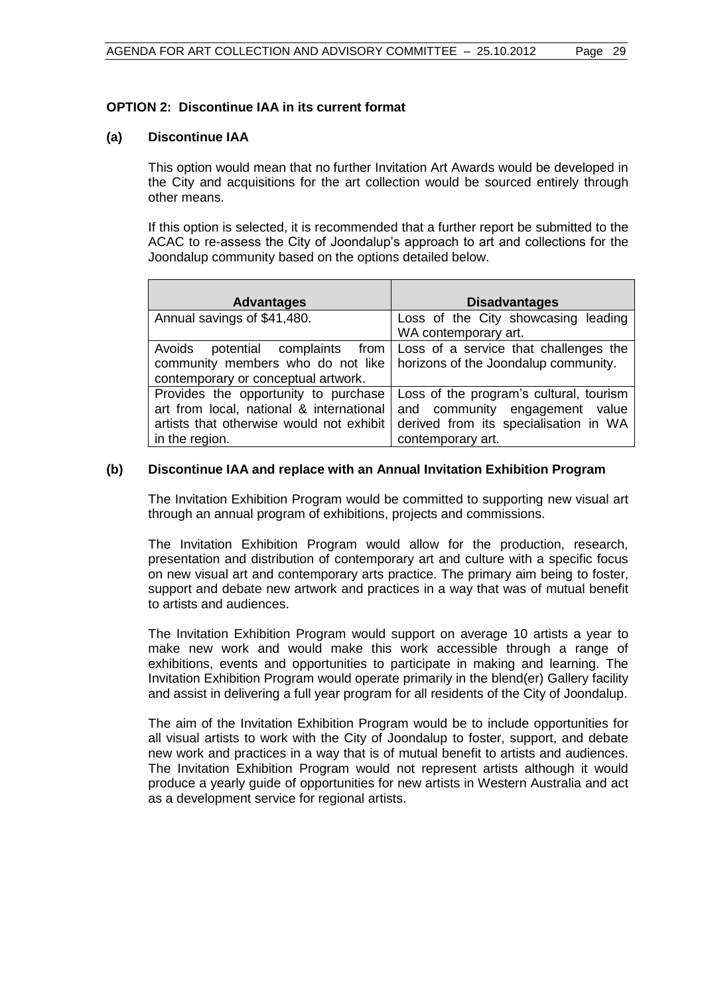# **OPTION 2: Discontinue IAA in its current format**

### **(a) Discontinue IAA**

This option would mean that no further Invitation Art Awards would be developed in the City and acquisitions for the art collection would be sourced entirely through other means.

If this option is selected, it is recommended that a further report be submitted to the ACAC to re-assess the City of Joondalup's approach to art and collections for the Joondalup community based on the options detailed below.

| <b>Advantages</b>                                                                                                                              | <b>Disadvantages</b>                                                                                                                    |
|------------------------------------------------------------------------------------------------------------------------------------------------|-----------------------------------------------------------------------------------------------------------------------------------------|
| Annual savings of \$41,480.                                                                                                                    | Loss of the City showcasing leading<br>WA contemporary art.                                                                             |
| Avoids potential complaints from<br>community members who do not like<br>contemporary or conceptual artwork.                                   | Loss of a service that challenges the<br>horizons of the Joondalup community.                                                           |
| Provides the opportunity to purchase<br>art from local, national & international<br>artists that otherwise would not exhibit<br>in the region. | Loss of the program's cultural, tourism<br>and community engagement value<br>derived from its specialisation in WA<br>contemporary art. |

# **(b) Discontinue IAA and replace with an Annual Invitation Exhibition Program**

The Invitation Exhibition Program would be committed to supporting new visual art through an annual program of exhibitions, projects and commissions.

The Invitation Exhibition Program would allow for the production, research, presentation and distribution of contemporary art and culture with a specific focus on new visual art and contemporary arts practice. The primary aim being to foster, support and debate new artwork and practices in a way that was of mutual benefit to artists and audiences.

The Invitation Exhibition Program would support on average 10 artists a year to make new work and would make this work accessible through a range of exhibitions, events and opportunities to participate in making and learning. The Invitation Exhibition Program would operate primarily in the blend(er) Gallery facility and assist in delivering a full year program for all residents of the City of Joondalup.

The aim of the Invitation Exhibition Program would be to include opportunities for all visual artists to work with the City of Joondalup to foster, support, and debate new work and practices in a way that is of mutual benefit to artists and audiences. The Invitation Exhibition Program would not represent artists although it would produce a yearly guide of opportunities for new artists in Western Australia and act as a development service for regional artists.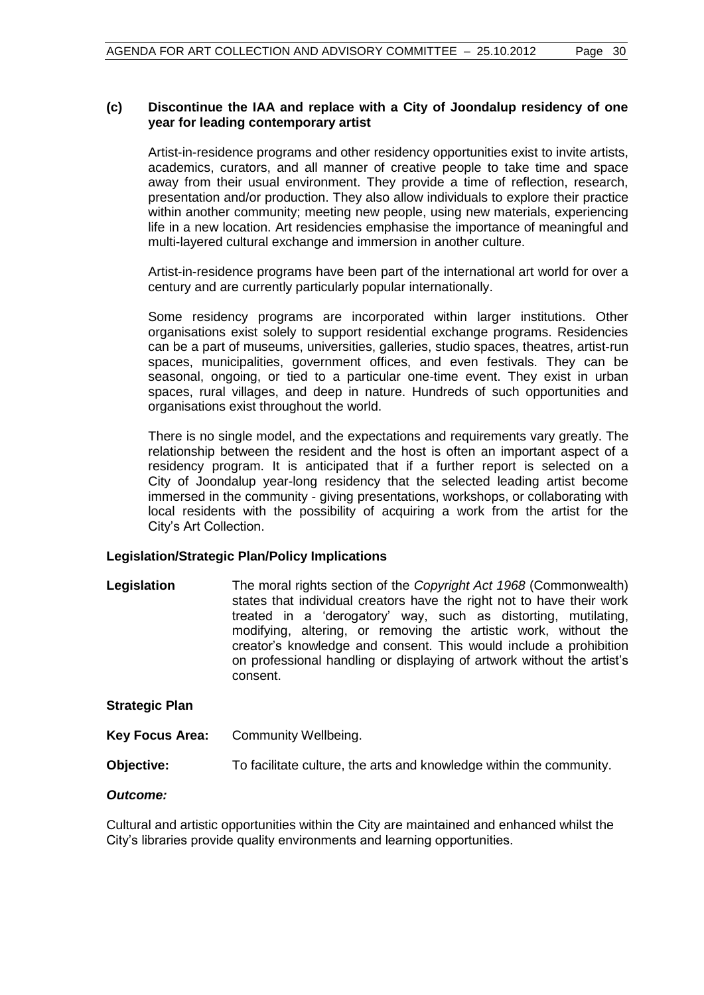# **(c) Discontinue the IAA and replace with a City of Joondalup residency of one year for leading contemporary artist**

Artist-in-residence programs and other residency opportunities exist to invite artists, academics, curators, and all manner of creative people to take time and space away from their usual environment. They provide a time of reflection, research, presentation and/or production. They also allow individuals to explore their practice within another community; meeting new people, using new materials, experiencing life in a new location. Art residencies emphasise the importance of meaningful and multi-layered cultural exchange and immersion in another culture.

Artist-in-residence programs have been part of the international art world for over a century and are currently particularly popular internationally.

Some residency programs are incorporated within larger institutions. Other organisations exist solely to support residential exchange programs. Residencies can be a part of museums, universities, galleries, studio spaces, theatres, [artist-run](http://en.wikipedia.org/wiki/Artist-run_space)  [spaces,](http://en.wikipedia.org/wiki/Artist-run_space) municipalities, government offices, and even festivals. They can be seasonal, ongoing, or tied to a particular one-time event. They exist in urban spaces, rural villages, and deep in nature. Hundreds of such opportunities and organisations exist throughout the world.

There is no single model, and the expectations and requirements vary greatly. The relationship between the resident and the host is often an important aspect of a residency program. It is anticipated that if a further report is selected on a City of Joondalup year-long residency that the selected leading artist become immersed in the community - giving presentations, workshops, or collaborating with local residents with the possibility of acquiring a work from the artist for the City's Art Collection.

# **Legislation/Strategic Plan/Policy Implications**

**Legislation** The moral rights section of the *Copyright Act 1968* (Commonwealth) states that individual creators have the right not to have their work treated in a 'derogatory' way, such as distorting, mutilating, modifying, altering, or removing the artistic work, without the creator's knowledge and consent. This would include a prohibition on professional handling or displaying of artwork without the artist's consent.

#### **Strategic Plan**

**Key Focus Area:** Community Wellbeing.

**Objective:** To facilitate culture, the arts and knowledge within the community.

#### *Outcome:*

Cultural and artistic opportunities within the City are maintained and enhanced whilst the City's libraries provide quality environments and learning opportunities.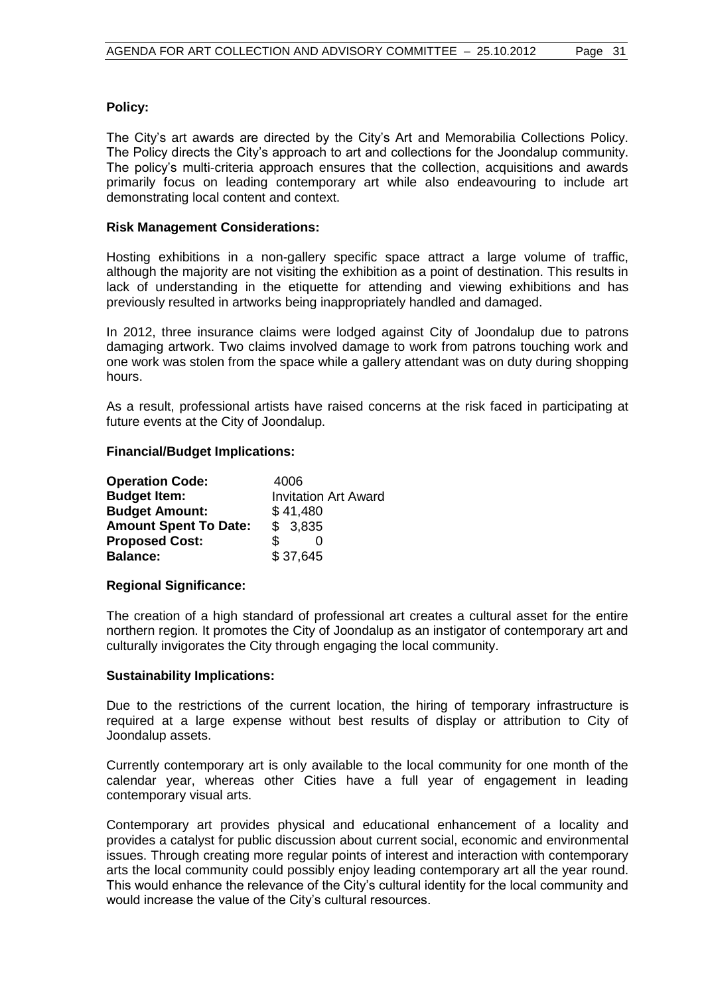# **Policy:**

The City's art awards are directed by the City's Art and Memorabilia Collections Policy. The Policy directs the City's approach to art and collections for the Joondalup community. The policy's multi-criteria approach ensures that the collection, acquisitions and awards primarily focus on leading contemporary art while also endeavouring to include art demonstrating local content and context.

### **Risk Management Considerations:**

Hosting exhibitions in a non-gallery specific space attract a large volume of traffic, although the majority are not visiting the exhibition as a point of destination. This results in lack of understanding in the etiquette for attending and viewing exhibitions and has previously resulted in artworks being inappropriately handled and damaged.

In 2012, three insurance claims were lodged against City of Joondalup due to patrons damaging artwork. Two claims involved damage to work from patrons touching work and one work was stolen from the space while a gallery attendant was on duty during shopping hours.

As a result, professional artists have raised concerns at the risk faced in participating at future events at the City of Joondalup.

#### **Financial/Budget Implications:**

| <b>Operation Code:</b>       | 4006                        |
|------------------------------|-----------------------------|
| <b>Budget Item:</b>          | <b>Invitation Art Award</b> |
| <b>Budget Amount:</b>        | \$41,480                    |
| <b>Amount Spent To Date:</b> | \$3,835                     |
| <b>Proposed Cost:</b>        |                             |
| <b>Balance:</b>              | \$37,645                    |

#### **Regional Significance:**

The creation of a high standard of professional art creates a cultural asset for the entire northern region. It promotes the City of Joondalup as an instigator of contemporary art and culturally invigorates the City through engaging the local community.

#### **Sustainability Implications:**

Due to the restrictions of the current location, the hiring of temporary infrastructure is required at a large expense without best results of display or attribution to City of Joondalup assets.

Currently contemporary art is only available to the local community for one month of the calendar year, whereas other Cities have a full year of engagement in leading contemporary visual arts.

Contemporary art provides physical and educational enhancement of a locality and provides a catalyst for public discussion about current social, economic and environmental issues. Through creating more regular points of interest and interaction with contemporary arts the local community could possibly enjoy leading contemporary art all the year round. This would enhance the relevance of the City's cultural identity for the local community and would increase the value of the City's cultural resources.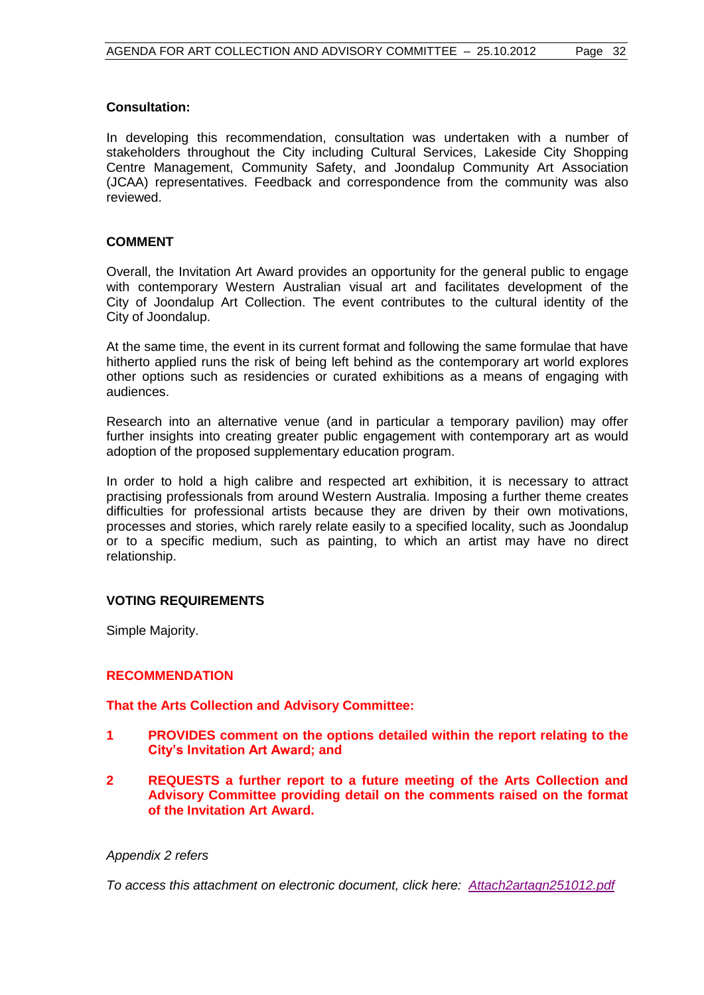# **Consultation:**

In developing this recommendation, consultation was undertaken with a number of stakeholders throughout the City including Cultural Services, Lakeside City Shopping Centre Management, Community Safety, and Joondalup Community Art Association (JCAA) representatives. Feedback and correspondence from the community was also reviewed.

# **COMMENT**

Overall, the Invitation Art Award provides an opportunity for the general public to engage with contemporary Western Australian visual art and facilitates development of the City of Joondalup Art Collection. The event contributes to the cultural identity of the City of Joondalup.

At the same time, the event in its current format and following the same formulae that have hitherto applied runs the risk of being left behind as the contemporary art world explores other options such as residencies or curated exhibitions as a means of engaging with audiences.

Research into an alternative venue (and in particular a temporary pavilion) may offer further insights into creating greater public engagement with contemporary art as would adoption of the proposed supplementary education program.

In order to hold a high calibre and respected art exhibition, it is necessary to attract practising professionals from around Western Australia. Imposing a further theme creates difficulties for professional artists because they are driven by their own motivations, processes and stories, which rarely relate easily to a specified locality, such as Joondalup or to a specific medium, such as painting, to which an artist may have no direct relationship.

#### **VOTING REQUIREMENTS**

Simple Majority.

#### **RECOMMENDATION**

**That the Arts Collection and Advisory Committee:**

- **1 PROVIDES comment on the options detailed within the report relating to the City's Invitation Art Award; and**
- **2 REQUESTS a further report to a future meeting of the Arts Collection and Advisory Committee providing detail on the comments raised on the format of the Invitation Art Award.**

#### *Appendix 2 refers*

*To access this attachment on electronic document, click here: [Attach2artagn251012.pdf](Attachments/Attach2artagn251012.pdf)*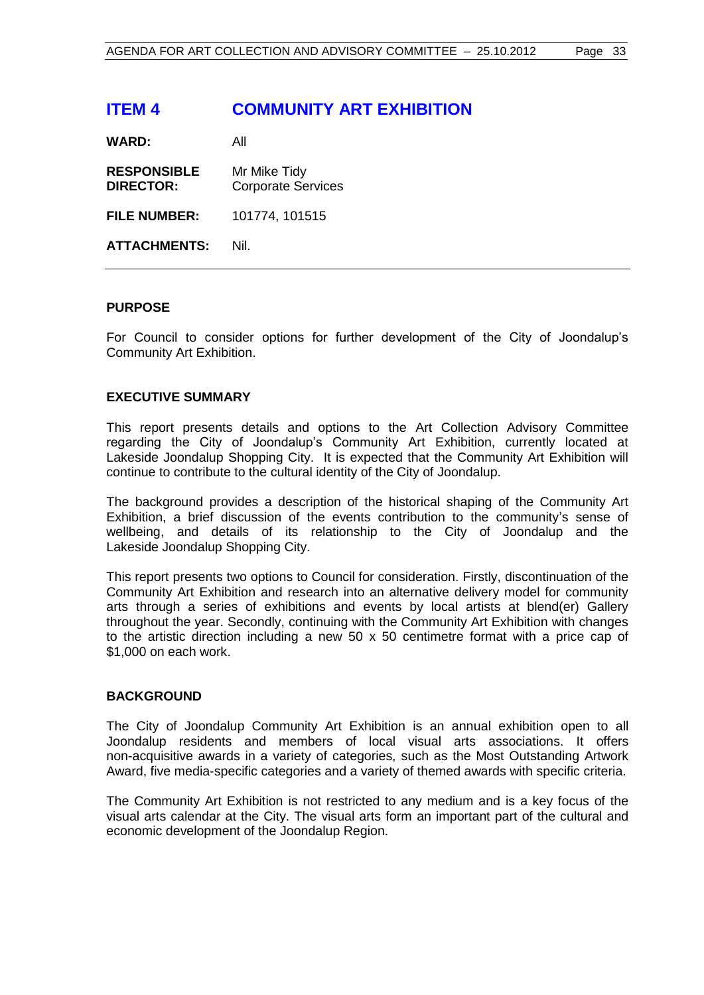# <span id="page-32-0"></span>**ITEM 4 COMMUNITY ART EXHIBITION**

**WARD:** All

**RESPONSIBLE** Mr Mike Tidy **DIRECTOR:** Corporate Services

**FILE NUMBER:** 101774, 101515

**ATTACHMENTS:** Nil.

# **PURPOSE**

For Council to consider options for further development of the City of Joondalup's Community Art Exhibition.

# **EXECUTIVE SUMMARY**

This report presents details and options to the Art Collection Advisory Committee regarding the City of Joondalup's Community Art Exhibition, currently located at Lakeside Joondalup Shopping City. It is expected that the Community Art Exhibition will continue to contribute to the cultural identity of the City of Joondalup.

The background provides a description of the historical shaping of the Community Art Exhibition, a brief discussion of the events contribution to the community's sense of wellbeing, and details of its relationship to the City of Joondalup and the Lakeside Joondalup Shopping City.

This report presents two options to Council for consideration. Firstly, discontinuation of the Community Art Exhibition and research into an alternative delivery model for community arts through a series of exhibitions and events by local artists at blend(er) Gallery throughout the year. Secondly, continuing with the Community Art Exhibition with changes to the artistic direction including a new 50  $\times$  50 centimetre format with a price cap of \$1,000 on each work.

#### **BACKGROUND**

The City of Joondalup Community Art Exhibition is an annual exhibition open to all Joondalup residents and members of local visual arts associations. It offers non-acquisitive awards in a variety of categories, such as the Most Outstanding Artwork Award, five media-specific categories and a variety of themed awards with specific criteria.

The Community Art Exhibition is not restricted to any medium and is a key focus of the visual arts calendar at the City. The visual arts form an important part of the cultural and economic development of the Joondalup Region.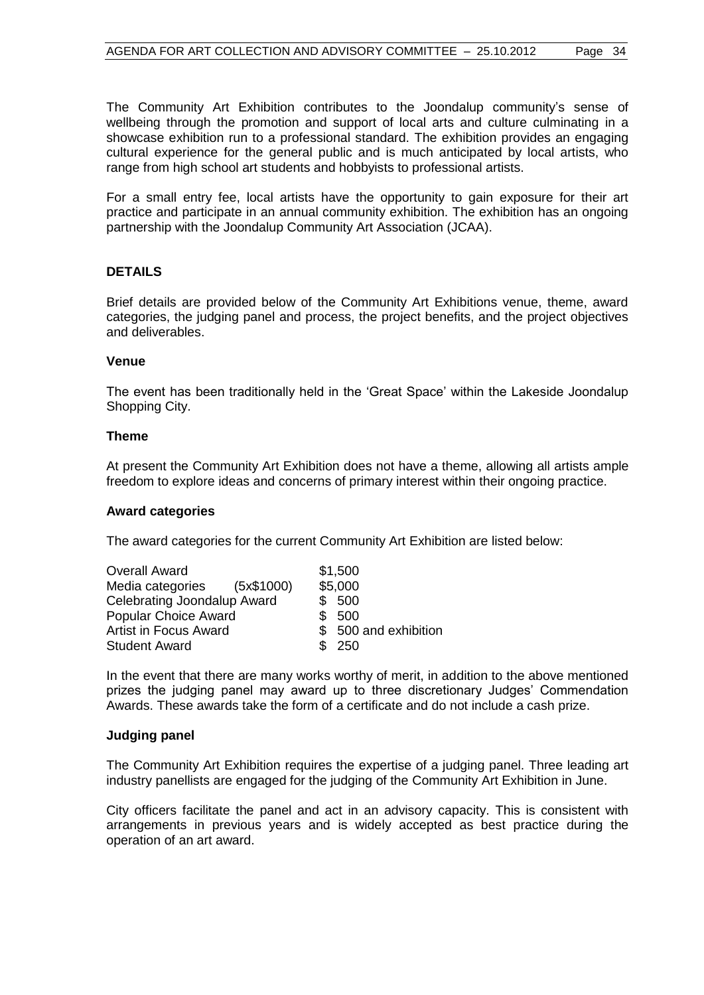The Community Art Exhibition contributes to the Joondalup community's sense of wellbeing through the promotion and support of local arts and culture culminating in a showcase exhibition run to a professional standard. The exhibition provides an engaging cultural experience for the general public and is much anticipated by local artists, who range from high school art students and hobbyists to professional artists.

For a small entry fee, local artists have the opportunity to gain exposure for their art practice and participate in an annual community exhibition. The exhibition has an ongoing partnership with the Joondalup Community Art Association (JCAA).

# **DETAILS**

Brief details are provided below of the Community Art Exhibitions venue, theme, award categories, the judging panel and process, the project benefits, and the project objectives and deliverables.

#### **Venue**

The event has been traditionally held in the 'Great Space' within the Lakeside Joondalup Shopping City.

#### **Theme**

At present the Community Art Exhibition does not have a theme, allowing all artists ample freedom to explore ideas and concerns of primary interest within their ongoing practice.

#### **Award categories**

The award categories for the current Community Art Exhibition are listed below:

| <b>Overall Award</b>         | \$1,500               |
|------------------------------|-----------------------|
| Media categories (5x\$1000)  | \$5,000               |
| Celebrating Joondalup Award  | \$500                 |
| <b>Popular Choice Award</b>  | \$ 500                |
| <b>Artist in Focus Award</b> | \$ 500 and exhibition |
| <b>Student Award</b>         | \$ 250                |

In the event that there are many works worthy of merit, in addition to the above mentioned prizes the judging panel may award up to three discretionary Judges' Commendation Awards. These awards take the form of a certificate and do not include a cash prize.

#### **Judging panel**

The Community Art Exhibition requires the expertise of a judging panel. Three leading art industry panellists are engaged for the judging of the Community Art Exhibition in June.

City officers facilitate the panel and act in an advisory capacity. This is consistent with arrangements in previous years and is widely accepted as best practice during the operation of an art award.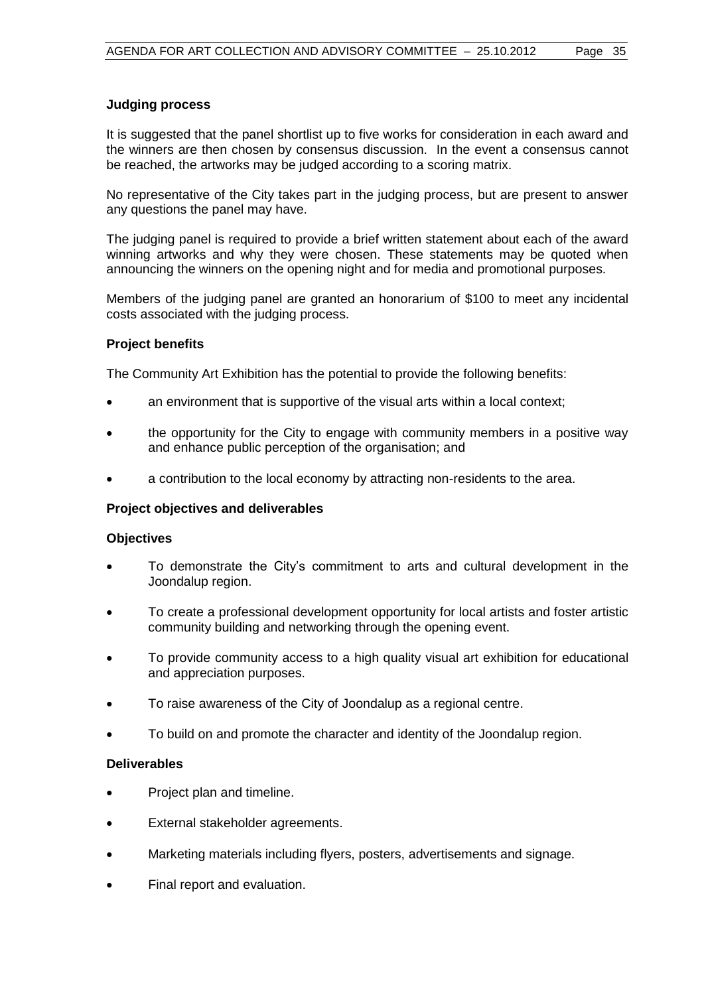### **Judging process**

It is suggested that the panel shortlist up to five works for consideration in each award and the winners are then chosen by consensus discussion. In the event a consensus cannot be reached, the artworks may be judged according to a scoring matrix.

No representative of the City takes part in the judging process, but are present to answer any questions the panel may have.

The judging panel is required to provide a brief written statement about each of the award winning artworks and why they were chosen. These statements may be quoted when announcing the winners on the opening night and for media and promotional purposes.

Members of the judging panel are granted an honorarium of \$100 to meet any incidental costs associated with the judging process.

# **Project benefits**

The Community Art Exhibition has the potential to provide the following benefits:

- an environment that is supportive of the visual arts within a local context;
- the opportunity for the City to engage with community members in a positive way and enhance public perception of the organisation; and
- a contribution to the local economy by attracting non-residents to the area.

#### **Project objectives and deliverables**

#### **Objectives**

- To demonstrate the City's commitment to arts and cultural development in the Joondalup region.
- To create a professional development opportunity for local artists and foster artistic community building and networking through the opening event.
- To provide community access to a high quality visual art exhibition for educational and appreciation purposes.
- To raise awareness of the City of Joondalup as a regional centre.
- To build on and promote the character and identity of the Joondalup region.

#### **Deliverables**

- Project plan and timeline.
- External stakeholder agreements.
- Marketing materials including flyers, posters, advertisements and signage.
- Final report and evaluation.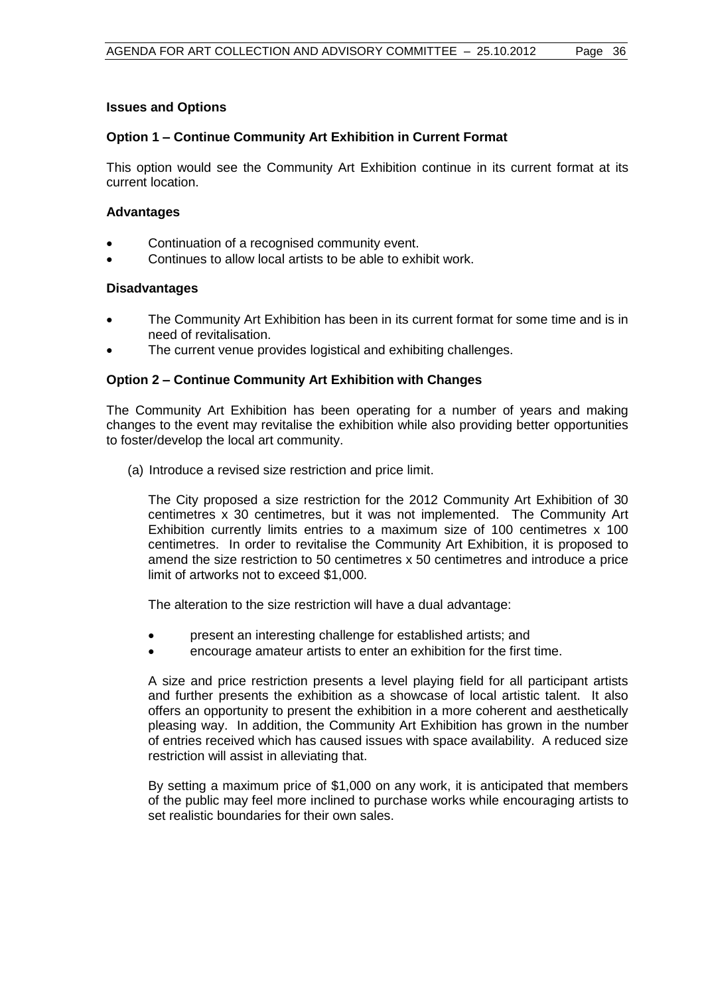### **Issues and Options**

# **Option 1 – Continue Community Art Exhibition in Current Format**

This option would see the Community Art Exhibition continue in its current format at its current location.

#### **Advantages**

- Continuation of a recognised community event.
- Continues to allow local artists to be able to exhibit work.

#### **Disadvantages**

- The Community Art Exhibition has been in its current format for some time and is in need of revitalisation.
- The current venue provides logistical and exhibiting challenges.

# **Option 2 – Continue Community Art Exhibition with Changes**

The Community Art Exhibition has been operating for a number of years and making changes to the event may revitalise the exhibition while also providing better opportunities to foster/develop the local art community.

(a) Introduce a revised size restriction and price limit.

The City proposed a size restriction for the 2012 Community Art Exhibition of 30 centimetres x 30 centimetres, but it was not implemented. The Community Art Exhibition currently limits entries to a maximum size of 100 centimetres x 100 centimetres. In order to revitalise the Community Art Exhibition, it is proposed to amend the size restriction to 50 centimetres x 50 centimetres and introduce a price limit of artworks not to exceed \$1,000.

The alteration to the size restriction will have a dual advantage:

- present an interesting challenge for established artists; and
- encourage amateur artists to enter an exhibition for the first time.

A size and price restriction presents a level playing field for all participant artists and further presents the exhibition as a showcase of local artistic talent. It also offers an opportunity to present the exhibition in a more coherent and aesthetically pleasing way. In addition, the Community Art Exhibition has grown in the number of entries received which has caused issues with space availability. A reduced size restriction will assist in alleviating that.

By setting a maximum price of \$1,000 on any work, it is anticipated that members of the public may feel more inclined to purchase works while encouraging artists to set realistic boundaries for their own sales.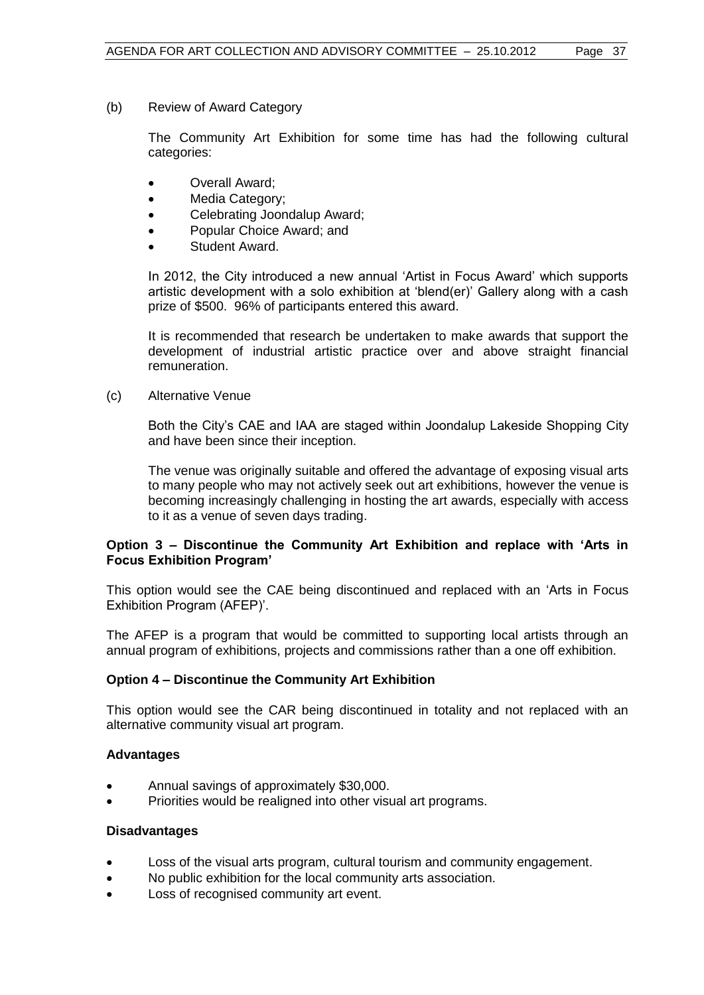(b) Review of Award Category

The Community Art Exhibition for some time has had the following cultural categories:

- Overall Award;
- Media Category;
- Celebrating Joondalup Award;
- Popular Choice Award; and
- Student Award.

In 2012, the City introduced a new annual 'Artist in Focus Award' which supports artistic development with a solo exhibition at 'blend(er)' Gallery along with a cash prize of \$500. 96% of participants entered this award.

It is recommended that research be undertaken to make awards that support the development of industrial artistic practice over and above straight financial remuneration.

(c) Alternative Venue

Both the City's CAE and IAA are staged within Joondalup Lakeside Shopping City and have been since their inception.

The venue was originally suitable and offered the advantage of exposing visual arts to many people who may not actively seek out art exhibitions, however the venue is becoming increasingly challenging in hosting the art awards, especially with access to it as a venue of seven days trading.

# **Option 3 – Discontinue the Community Art Exhibition and replace with 'Arts in Focus Exhibition Program'**

This option would see the CAE being discontinued and replaced with an 'Arts in Focus Exhibition Program (AFEP)'.

The AFEP is a program that would be committed to supporting local artists through an annual program of exhibitions, projects and commissions rather than a one off exhibition.

# **Option 4 – Discontinue the Community Art Exhibition**

This option would see the CAR being discontinued in totality and not replaced with an alternative community visual art program.

# **Advantages**

- Annual savings of approximately \$30,000.
- Priorities would be realigned into other visual art programs.

# **Disadvantages**

- Loss of the visual arts program, cultural tourism and community engagement.
- No public exhibition for the local community arts association.
- Loss of recognised community art event.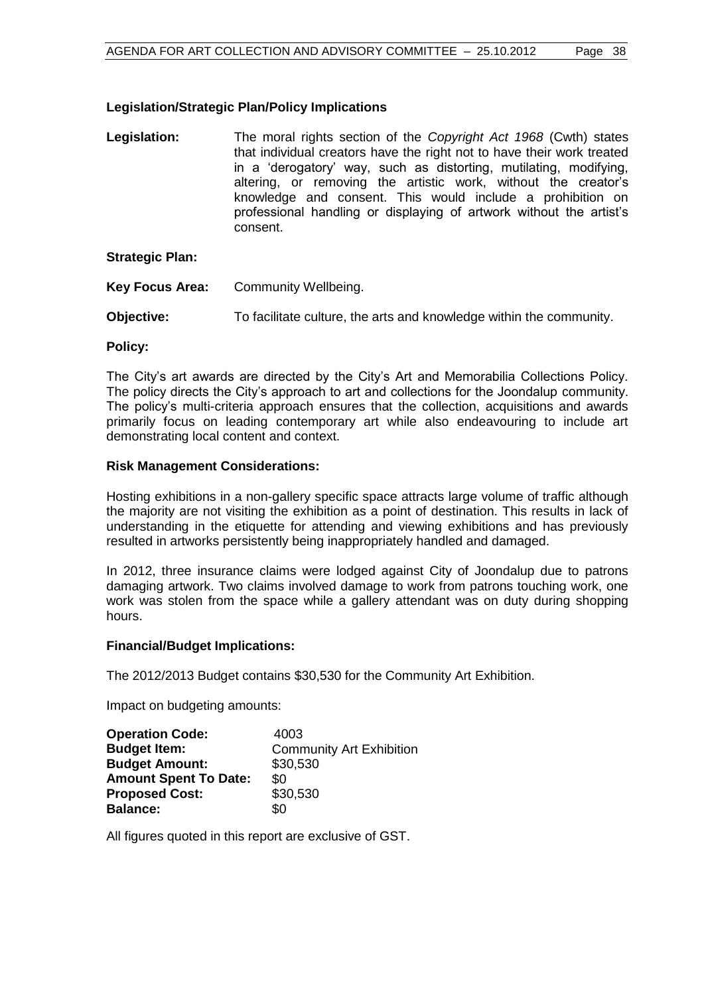# **Legislation/Strategic Plan/Policy Implications**

**Legislation:** The moral rights section of the *Copyright Act 1968* (Cwth) states that individual creators have the right not to have their work treated in a 'derogatory' way, such as distorting, mutilating, modifying, altering, or removing the artistic work, without the creator's knowledge and consent. This would include a prohibition on professional handling or displaying of artwork without the artist's consent.

# **Strategic Plan:**

- **Key Focus Area:** Community Wellbeing.
- **Objective:** To facilitate culture, the arts and knowledge within the community.

#### **Policy:**

The City's art awards are directed by the City's Art and Memorabilia Collections Policy. The policy directs the City's approach to art and collections for the Joondalup community. The policy's multi-criteria approach ensures that the collection, acquisitions and awards primarily focus on leading contemporary art while also endeavouring to include art demonstrating local content and context.

#### **Risk Management Considerations:**

Hosting exhibitions in a non-gallery specific space attracts large volume of traffic although the majority are not visiting the exhibition as a point of destination. This results in lack of understanding in the etiquette for attending and viewing exhibitions and has previously resulted in artworks persistently being inappropriately handled and damaged.

In 2012, three insurance claims were lodged against City of Joondalup due to patrons damaging artwork. Two claims involved damage to work from patrons touching work, one work was stolen from the space while a gallery attendant was on duty during shopping hours.

#### **Financial/Budget Implications:**

The 2012/2013 Budget contains \$30,530 for the Community Art Exhibition.

Impact on budgeting amounts:

| <b>Operation Code:</b>       | 4003                            |
|------------------------------|---------------------------------|
| <b>Budget Item:</b>          | <b>Community Art Exhibition</b> |
| <b>Budget Amount:</b>        | \$30,530                        |
| <b>Amount Spent To Date:</b> | \$0                             |
| <b>Proposed Cost:</b>        | \$30,530                        |
| <b>Balance:</b>              | \$0                             |

All figures quoted in this report are exclusive of GST.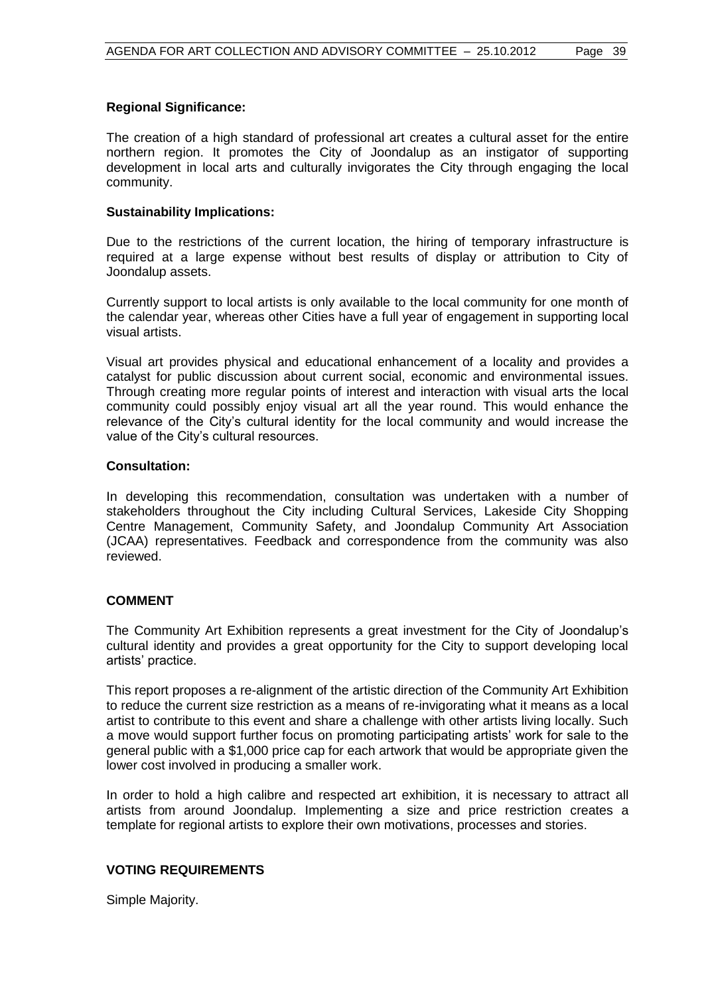# **Regional Significance:**

The creation of a high standard of professional art creates a cultural asset for the entire northern region. It promotes the City of Joondalup as an instigator of supporting development in local arts and culturally invigorates the City through engaging the local community.

### **Sustainability Implications:**

Due to the restrictions of the current location, the hiring of temporary infrastructure is required at a large expense without best results of display or attribution to City of Joondalup assets.

Currently support to local artists is only available to the local community for one month of the calendar year, whereas other Cities have a full year of engagement in supporting local visual artists.

Visual art provides physical and educational enhancement of a locality and provides a catalyst for public discussion about current social, economic and environmental issues. Through creating more regular points of interest and interaction with visual arts the local community could possibly enjoy visual art all the year round. This would enhance the relevance of the City's cultural identity for the local community and would increase the value of the City's cultural resources.

#### **Consultation:**

In developing this recommendation, consultation was undertaken with a number of stakeholders throughout the City including Cultural Services, Lakeside City Shopping Centre Management, Community Safety, and Joondalup Community Art Association (JCAA) representatives. Feedback and correspondence from the community was also reviewed.

# **COMMENT**

The Community Art Exhibition represents a great investment for the City of Joondalup's cultural identity and provides a great opportunity for the City to support developing local artists' practice.

This report proposes a re-alignment of the artistic direction of the Community Art Exhibition to reduce the current size restriction as a means of re-invigorating what it means as a local artist to contribute to this event and share a challenge with other artists living locally. Such a move would support further focus on promoting participating artists' work for sale to the general public with a \$1,000 price cap for each artwork that would be appropriate given the lower cost involved in producing a smaller work.

In order to hold a high calibre and respected art exhibition, it is necessary to attract all artists from around Joondalup. Implementing a size and price restriction creates a template for regional artists to explore their own motivations, processes and stories.

#### **VOTING REQUIREMENTS**

Simple Majority.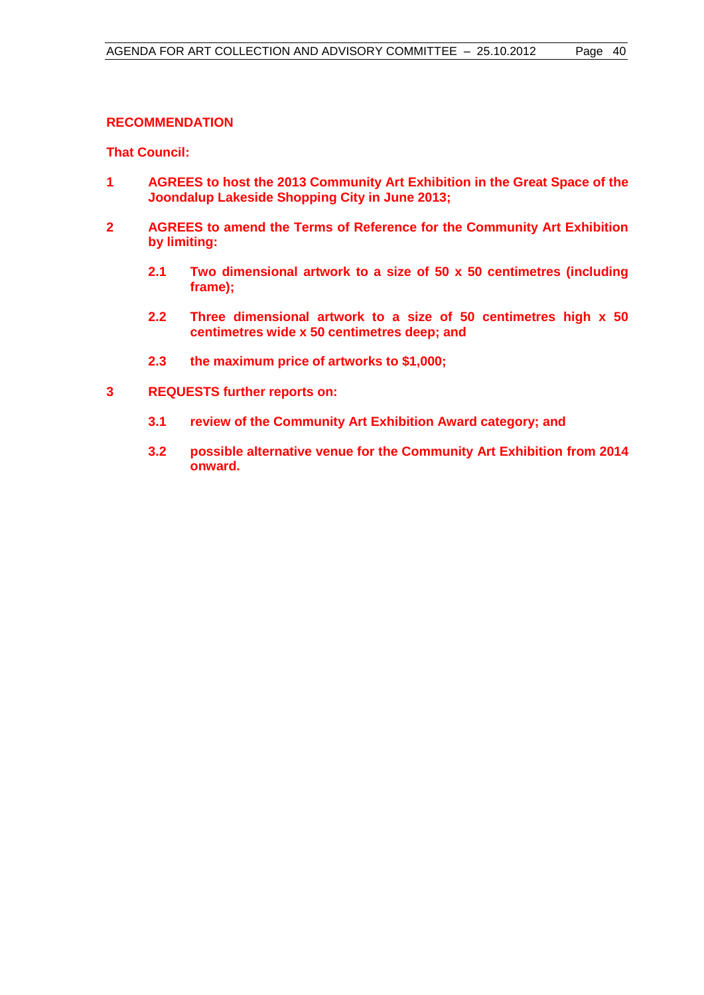# **RECOMMENDATION**

**That Council:**

- **1 AGREES to host the 2013 Community Art Exhibition in the Great Space of the Joondalup Lakeside Shopping City in June 2013;**
- **2 AGREES to amend the Terms of Reference for the Community Art Exhibition by limiting:** 
	- **2.1 Two dimensional artwork to a size of 50 x 50 centimetres (including frame);**
	- **2.2 Three dimensional artwork to a size of 50 centimetres high x 50 centimetres wide x 50 centimetres deep; and**
	- **2.3 the maximum price of artworks to \$1,000;**
- **3 REQUESTS further reports on:**
	- **3.1 review of the Community Art Exhibition Award category; and**
	- **3.2 possible alternative venue for the Community Art Exhibition from 2014 onward.**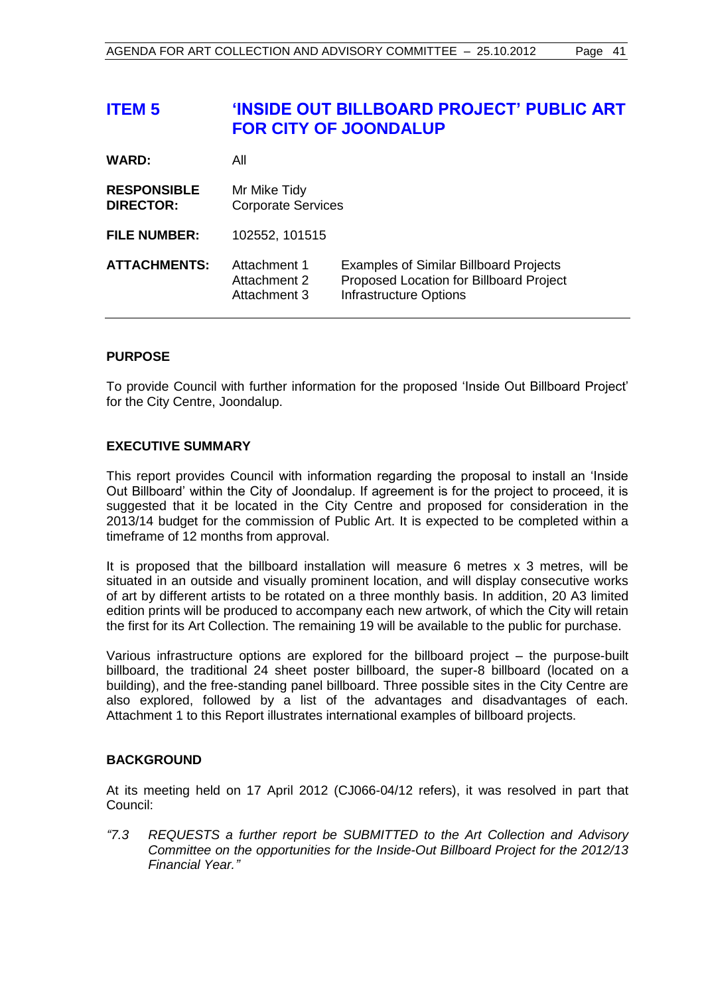# <span id="page-40-0"></span>**ITEM 5 'INSIDE OUT BILLBOARD PROJECT' PUBLIC ART FOR CITY OF JOONDALUP**

| <b>WARD:</b>                           | All                                          |                                                                                                                           |
|----------------------------------------|----------------------------------------------|---------------------------------------------------------------------------------------------------------------------------|
| <b>RESPONSIBLE</b><br><b>DIRECTOR:</b> | Mr Mike Tidy<br><b>Corporate Services</b>    |                                                                                                                           |
| <b>FILE NUMBER:</b>                    | 102552, 101515                               |                                                                                                                           |
| <b>ATTACHMENTS:</b>                    | Attachment 1<br>Attachment 2<br>Attachment 3 | <b>Examples of Similar Billboard Projects</b><br>Proposed Location for Billboard Project<br><b>Infrastructure Options</b> |

# **PURPOSE**

To provide Council with further information for the proposed 'Inside Out Billboard Project' for the City Centre, Joondalup.

# **EXECUTIVE SUMMARY**

This report provides Council with information regarding the proposal to install an 'Inside Out Billboard' within the City of Joondalup. If agreement is for the project to proceed, it is suggested that it be located in the City Centre and proposed for consideration in the 2013/14 budget for the commission of Public Art. It is expected to be completed within a timeframe of 12 months from approval.

It is proposed that the billboard installation will measure 6 metres x 3 metres, will be situated in an outside and visually prominent location, and will display consecutive works of art by different artists to be rotated on a three monthly basis. In addition, 20 A3 limited edition prints will be produced to accompany each new artwork, of which the City will retain the first for its Art Collection. The remaining 19 will be available to the public for purchase.

Various infrastructure options are explored for the billboard project – the purpose-built billboard, the traditional 24 sheet poster billboard, the super-8 billboard (located on a building), and the free-standing panel billboard. Three possible sites in the City Centre are also explored, followed by a list of the advantages and disadvantages of each. Attachment 1 to this Report illustrates international examples of billboard projects.

#### **BACKGROUND**

At its meeting held on 17 April 2012 (CJ066-04/12 refers), it was resolved in part that Council:

*"7.3 REQUESTS a further report be SUBMITTED to the Art Collection and Advisory Committee on the opportunities for the Inside-Out Billboard Project for the 2012/13 Financial Year."*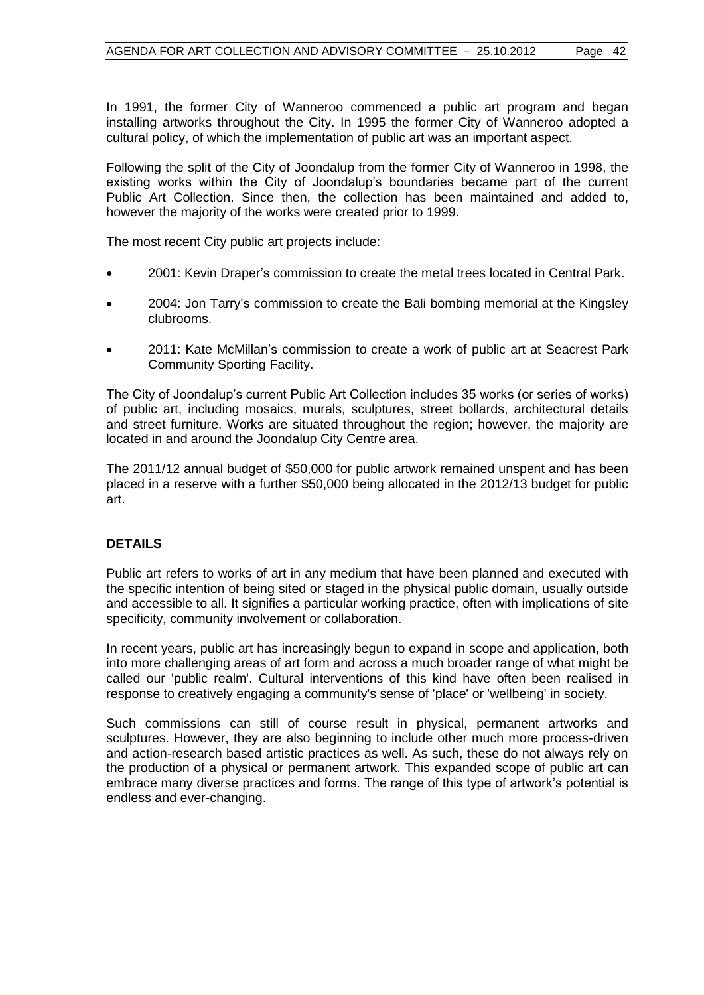In 1991, the former City of Wanneroo commenced a public art program and began installing artworks throughout the City. In 1995 the former City of Wanneroo adopted a cultural policy, of which the implementation of public art was an important aspect.

Following the split of the City of Joondalup from the former City of Wanneroo in 1998, the existing works within the City of Joondalup's boundaries became part of the current Public Art Collection. Since then, the collection has been maintained and added to, however the majority of the works were created prior to 1999.

The most recent City public art projects include:

- 2001: Kevin Draper's commission to create the metal trees located in Central Park.
- 2004: Jon Tarry's commission to create the Bali bombing memorial at the Kingsley clubrooms.
- 2011: Kate McMillan's commission to create a work of public art at Seacrest Park Community Sporting Facility.

The City of Joondalup's current Public Art Collection includes 35 works (or series of works) of public art, including mosaics, murals, sculptures, street bollards, architectural details and street furniture. Works are situated throughout the region; however, the majority are located in and around the Joondalup City Centre area.

The 2011/12 annual budget of \$50,000 for public artwork remained unspent and has been placed in a reserve with a further \$50,000 being allocated in the 2012/13 budget for public art.

#### **DETAILS**

Public art refers to works of art in any medium that have been planned and executed with the specific intention of being sited or staged in the physical public domain, usually outside and accessible to all. It signifies a particular working practice, often with implications of site specificity, community involvement or collaboration.

In recent years, public art has increasingly begun to expand in scope and application, both into more challenging areas of art form and across a much broader range of what might be called our 'public realm'. Cultural interventions of this kind have often been realised in response to creatively engaging a community's sense of 'place' or 'wellbeing' in society.

Such commissions can still of course result in physical, permanent artworks and sculptures. However, they are also beginning to include other much more process-driven and action-research based artistic practices as well. As such, these do not always rely on the production of a physical or permanent artwork. This expanded scope of public art can embrace many diverse practices and forms. The range of this type of artwork's potential is endless and ever-changing.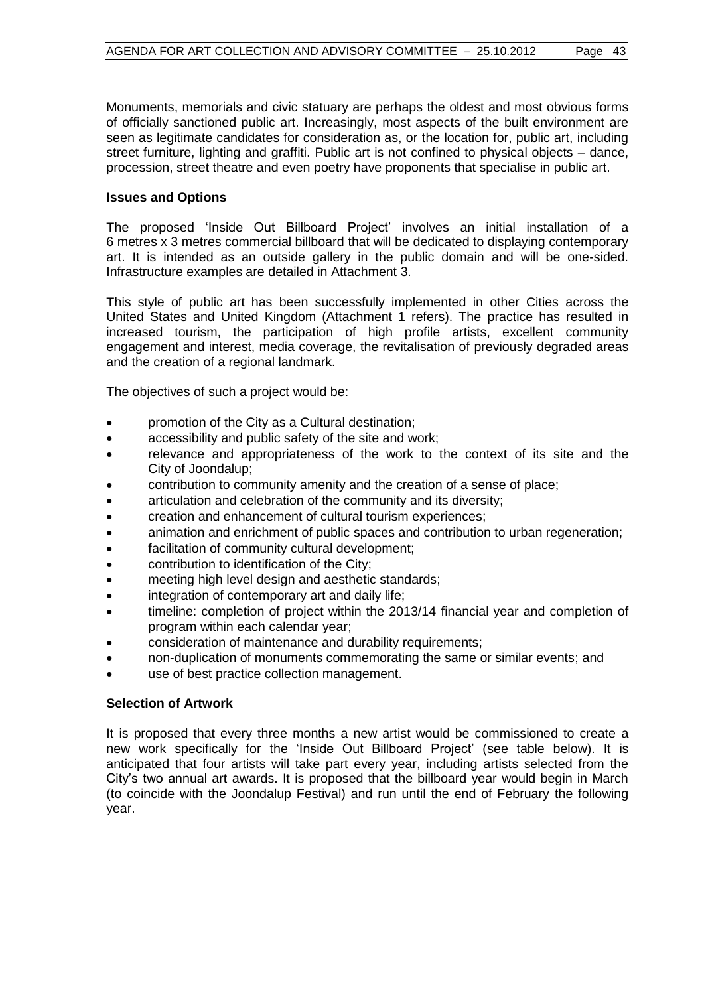Monuments, memorials and civic statuary are perhaps the oldest and most obvious forms of officially sanctioned public art. Increasingly, most aspects of the built environment are seen as legitimate candidates for consideration as, or the location for, public art, including street furniture, lighting and graffiti. Public art is not confined to physical objects – dance, procession, street theatre and even poetry have proponents that specialise in public art.

# **Issues and Options**

The proposed 'Inside Out Billboard Project' involves an initial installation of a 6 metres x 3 metres commercial billboard that will be dedicated to displaying contemporary art. It is intended as an outside gallery in the public domain and will be one-sided. Infrastructure examples are detailed in Attachment 3.

This style of public art has been successfully implemented in other Cities across the United States and United Kingdom (Attachment 1 refers). The practice has resulted in increased tourism, the participation of high profile artists, excellent community engagement and interest, media coverage, the revitalisation of previously degraded areas and the creation of a regional landmark.

The objectives of such a project would be:

- promotion of the City as a Cultural destination;
- accessibility and public safety of the site and work;
- relevance and appropriateness of the work to the context of its site and the City of Joondalup;
- contribution to community amenity and the creation of a sense of place;
- articulation and celebration of the community and its diversity;
- creation and enhancement of cultural tourism experiences;
- animation and enrichment of public spaces and contribution to urban regeneration;
- facilitation of community cultural development;
- **•** contribution to identification of the City;
- meeting high level design and aesthetic standards;
- integration of contemporary art and daily life;
- timeline: completion of project within the 2013/14 financial year and completion of program within each calendar year;
- consideration of maintenance and durability requirements;
- non-duplication of monuments commemorating the same or similar events; and
- use of best practice collection management.

#### **Selection of Artwork**

It is proposed that every three months a new artist would be commissioned to create a new work specifically for the 'Inside Out Billboard Project' (see table below). It is anticipated that four artists will take part every year, including artists selected from the City's two annual art awards. It is proposed that the billboard year would begin in March (to coincide with the Joondalup Festival) and run until the end of February the following year.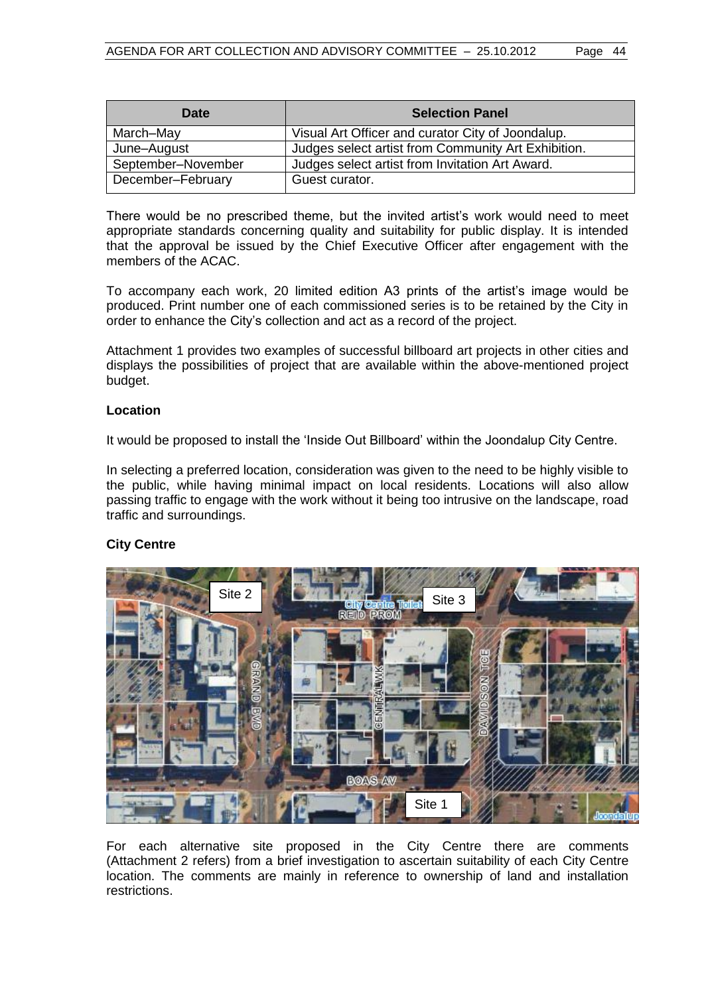| <b>Date</b>        | <b>Selection Panel</b>                              |
|--------------------|-----------------------------------------------------|
| March-May          | Visual Art Officer and curator City of Joondalup.   |
| June-August        | Judges select artist from Community Art Exhibition. |
| September-November | Judges select artist from Invitation Art Award.     |
| December-February  | Guest curator.                                      |

There would be no prescribed theme, but the invited artist's work would need to meet appropriate standards concerning quality and suitability for public display. It is intended that the approval be issued by the Chief Executive Officer after engagement with the members of the ACAC.

To accompany each work, 20 limited edition A3 prints of the artist's image would be produced. Print number one of each commissioned series is to be retained by the City in order to enhance the City's collection and act as a record of the project.

Attachment 1 provides two examples of successful billboard art projects in other cities and displays the possibilities of project that are available within the above-mentioned project budget.

# **Location**

It would be proposed to install the 'Inside Out Billboard' within the Joondalup City Centre.

In selecting a preferred location, consideration was given to the need to be highly visible to the public, while having minimal impact on local residents. Locations will also allow passing traffic to engage with the work without it being too intrusive on the landscape, road traffic and surroundings.

# **City Centre**



For each alternative site proposed in the City Centre there are comments (Attachment 2 refers) from a brief investigation to ascertain suitability of each City Centre location. The comments are mainly in reference to ownership of land and installation restrictions.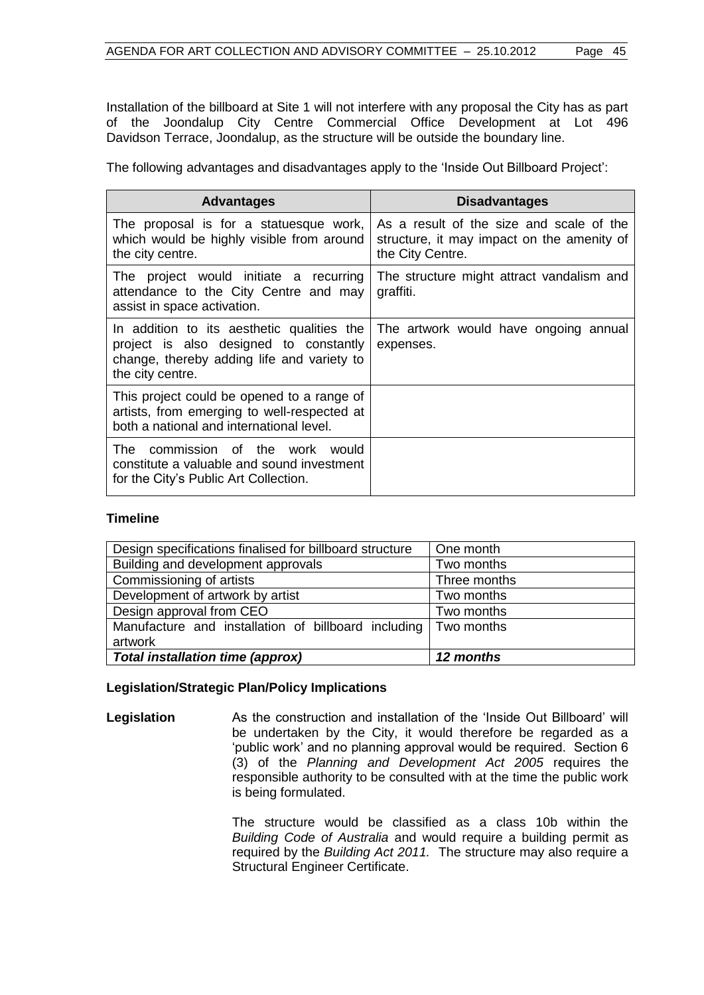Installation of the billboard at Site 1 will not interfere with any proposal the City has as part of the Joondalup City Centre Commercial Office Development at Lot 496 Davidson Terrace, Joondalup, as the structure will be outside the boundary line.

The following advantages and disadvantages apply to the 'Inside Out Billboard Project':

| <b>Advantages</b>                                                                                                                                      | <b>Disadvantages</b>                                                                                       |
|--------------------------------------------------------------------------------------------------------------------------------------------------------|------------------------------------------------------------------------------------------------------------|
| The proposal is for a statuesque work,<br>which would be highly visible from around<br>the city centre.                                                | As a result of the size and scale of the<br>structure, it may impact on the amenity of<br>the City Centre. |
| The project would initiate a recurring<br>attendance to the City Centre and may<br>assist in space activation.                                         | The structure might attract vandalism and<br>graffiti.                                                     |
| In addition to its aesthetic qualities the<br>project is also designed to constantly<br>change, thereby adding life and variety to<br>the city centre. | The artwork would have ongoing annual<br>expenses.                                                         |
| This project could be opened to a range of<br>artists, from emerging to well-respected at<br>both a national and international level.                  |                                                                                                            |
| The commission of the work would<br>constitute a valuable and sound investment<br>for the City's Public Art Collection.                                |                                                                                                            |

# **Timeline**

| Design specifications finalised for billboard structure        | One month    |
|----------------------------------------------------------------|--------------|
| Building and development approvals                             | Two months   |
| Commissioning of artists                                       | Three months |
| Development of artwork by artist                               | Two months   |
| Design approval from CEO                                       | Two months   |
| Manufacture and installation of billboard including Two months |              |
| artwork                                                        |              |
| Total installation time (approx)                               | 12 months    |

#### **Legislation/Strategic Plan/Policy Implications**

**Legislation** As the construction and installation of the 'Inside Out Billboard' will be undertaken by the City, it would therefore be regarded as a 'public work' and no planning approval would be required. Section 6 (3) of the *Planning and Development Act 2005* requires the responsible authority to be consulted with at the time the public work is being formulated.

> The structure would be classified as a class 10b within the *Building Code of Australia* and would require a building permit as required by the *Building Act 2011.* The structure may also require a Structural Engineer Certificate.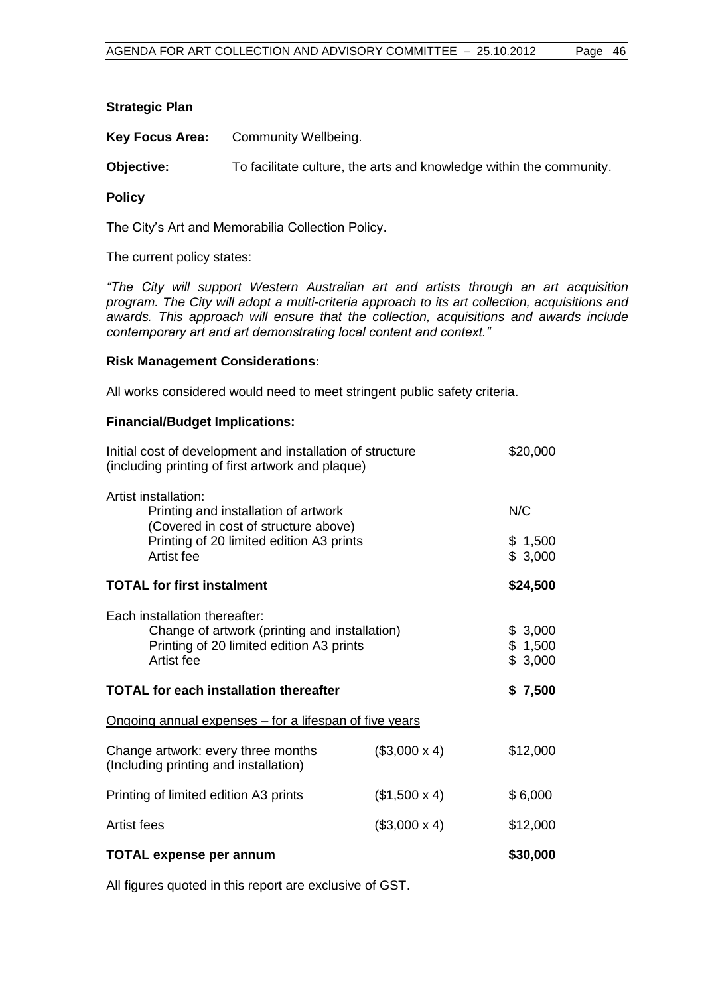# **Strategic Plan**

**Key Focus Area:** Community Wellbeing.

**Objective:** To facilitate culture, the arts and knowledge within the community.

### **Policy**

The City's Art and Memorabilia Collection Policy.

The current policy states:

*"The City will support Western Australian art and artists through an art acquisition program. The City will adopt a multi-criteria approach to its art collection, acquisitions and awards. This approach will ensure that the collection, acquisitions and awards include contemporary art and art demonstrating local content and context."*

# **Risk Management Considerations:**

All works considered would need to meet stringent public safety criteria.

# **Financial/Budget Implications:**

| Initial cost of development and installation of structure<br>(including printing of first artwork and plaque)                            |                     | \$20,000                      |
|------------------------------------------------------------------------------------------------------------------------------------------|---------------------|-------------------------------|
| Artist installation:<br>Printing and installation of artwork<br>(Covered in cost of structure above)                                     |                     | N/C                           |
| Printing of 20 limited edition A3 prints<br>Artist fee                                                                                   |                     | \$1,500<br>\$3,000            |
| <b>TOTAL for first instalment</b>                                                                                                        |                     | \$24,500                      |
| Each installation thereafter:<br>Change of artwork (printing and installation)<br>Printing of 20 limited edition A3 prints<br>Artist fee |                     | \$3,000<br>\$1,500<br>\$3,000 |
| <b>TOTAL for each installation thereafter</b>                                                                                            |                     | \$7,500                       |
| <u>Ongoing annual expenses – for a lifespan of five years</u>                                                                            |                     |                               |
| Change artwork: every three months<br>(Including printing and installation)                                                              | $($3,000 \times 4)$ | \$12,000                      |
| Printing of limited edition A3 prints                                                                                                    | $($1,500 \times 4)$ | \$6,000                       |
| Artist fees                                                                                                                              | $($3,000 \times 4)$ | \$12,000                      |
| <b>TOTAL expense per annum</b>                                                                                                           |                     | \$30,000                      |

All figures quoted in this report are exclusive of GST.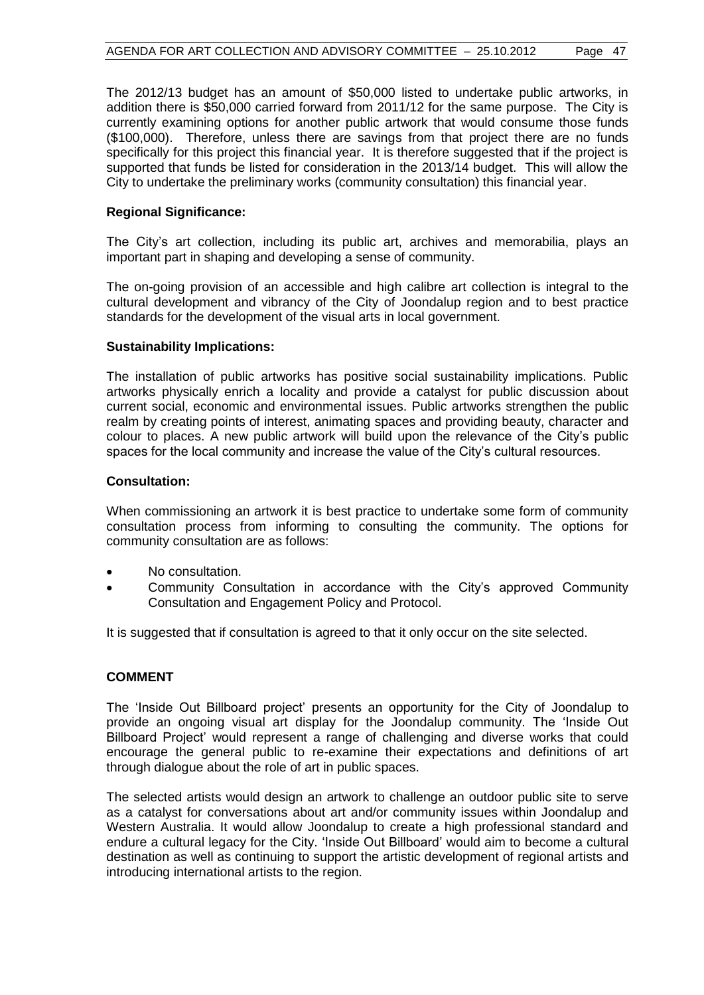The 2012/13 budget has an amount of \$50,000 listed to undertake public artworks, in addition there is \$50,000 carried forward from 2011/12 for the same purpose. The City is currently examining options for another public artwork that would consume those funds (\$100,000). Therefore, unless there are savings from that project there are no funds specifically for this project this financial year. It is therefore suggested that if the project is supported that funds be listed for consideration in the 2013/14 budget. This will allow the City to undertake the preliminary works (community consultation) this financial year.

# **Regional Significance:**

The City's art collection, including its public art, archives and memorabilia, plays an important part in shaping and developing a sense of community.

The on-going provision of an accessible and high calibre art collection is integral to the cultural development and vibrancy of the City of Joondalup region and to best practice standards for the development of the visual arts in local government.

# **Sustainability Implications:**

The installation of public artworks has positive social sustainability implications. Public artworks physically enrich a locality and provide a catalyst for public discussion about current social, economic and environmental issues. Public artworks strengthen the public realm by creating points of interest, animating spaces and providing beauty, character and colour to places. A new public artwork will build upon the relevance of the City's public spaces for the local community and increase the value of the City's cultural resources.

# **Consultation:**

When commissioning an artwork it is best practice to undertake some form of community consultation process from informing to consulting the community. The options for community consultation are as follows:

- No consultation.
- Community Consultation in accordance with the City's approved Community Consultation and Engagement Policy and Protocol.

It is suggested that if consultation is agreed to that it only occur on the site selected.

# **COMMENT**

The 'Inside Out Billboard project' presents an opportunity for the City of Joondalup to provide an ongoing visual art display for the Joondalup community. The 'Inside Out Billboard Project' would represent a range of challenging and diverse works that could encourage the general public to re-examine their expectations and definitions of art through dialogue about the role of art in public spaces.

The selected artists would design an artwork to challenge an outdoor public site to serve as a catalyst for conversations about art and/or community issues within Joondalup and Western Australia. It would allow Joondalup to create a high professional standard and endure a cultural legacy for the City. 'Inside Out Billboard' would aim to become a cultural destination as well as continuing to support the artistic development of regional artists and introducing international artists to the region.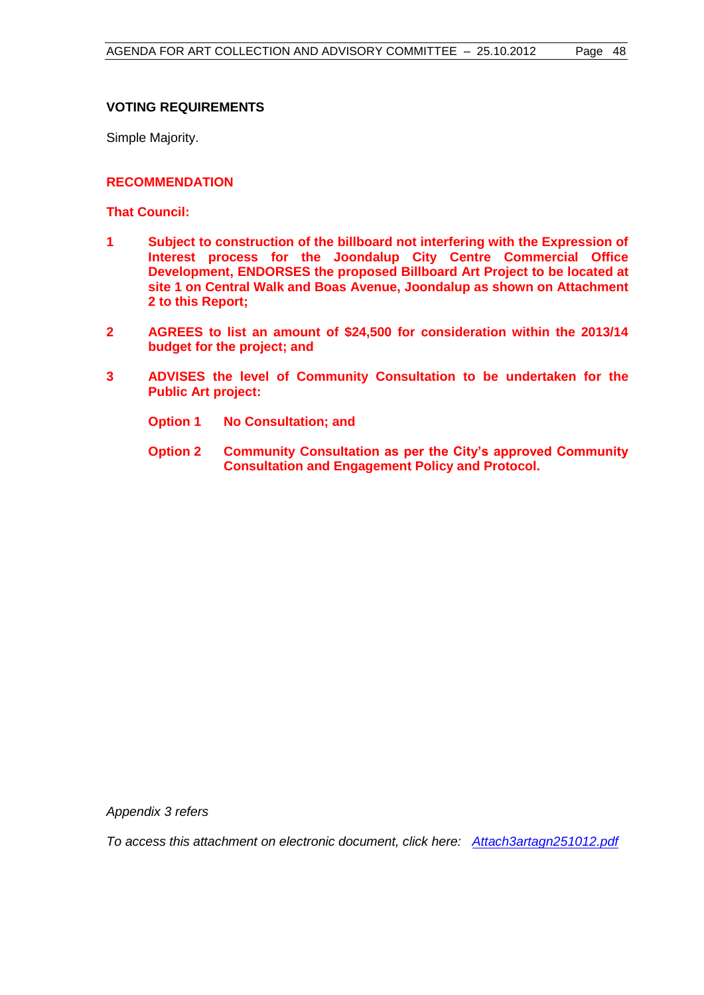# **VOTING REQUIREMENTS**

Simple Majority.

# **RECOMMENDATION**

**That Council:**

- **1 Subject to construction of the billboard not interfering with the Expression of Interest process for the Joondalup City Centre Commercial Office Development, ENDORSES the proposed Billboard Art Project to be located at site 1 on Central Walk and Boas Avenue, Joondalup as shown on Attachment 2 to this Report;**
- **2 AGREES to list an amount of \$24,500 for consideration within the 2013/14 budget for the project; and**
- **3 ADVISES the level of Community Consultation to be undertaken for the Public Art project:**
	- **Option 1 No Consultation; and**
	- **Option 2 Community Consultation as per the City's approved Community Consultation and Engagement Policy and Protocol.**

*Appendix 3 refers*

*To access this attachment on electronic document, click her[e: Attach3artagn251012.pdf](Attach3artagn251012.pdf)*